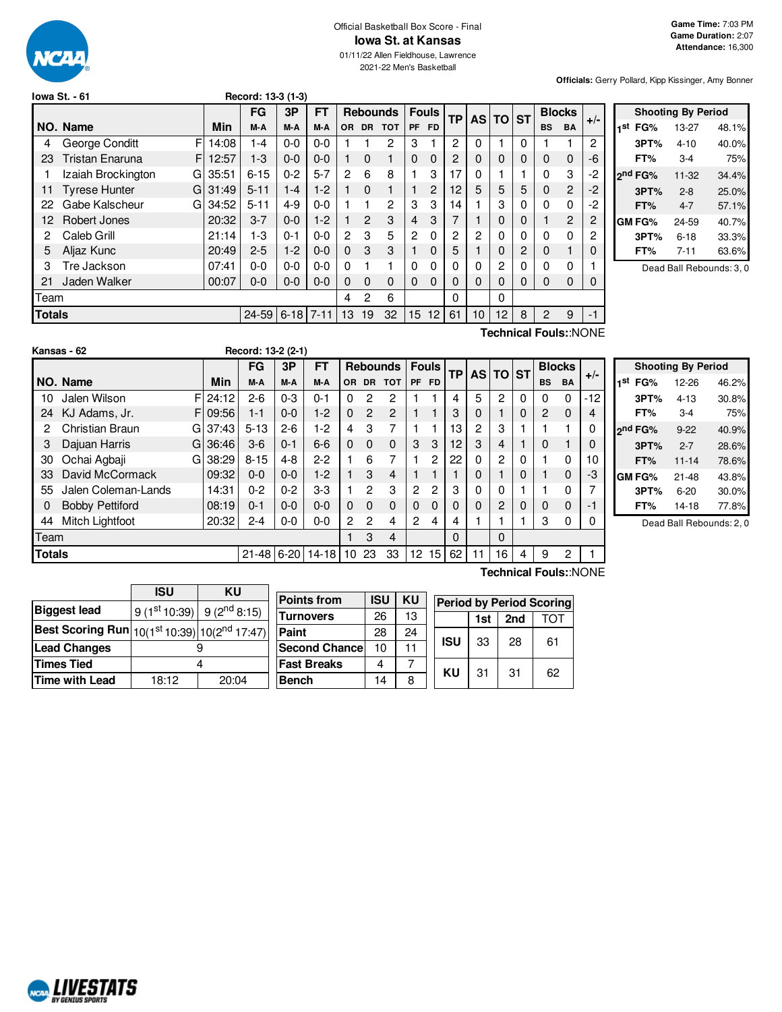

# Official Basketball Box Score - Final **Iowa St. at Kansas**

01/11/22 Allen Fieldhouse, Lawrence 2021-22 Men's Basketball

**Officials:** Gerry Pollard, Kipp Kissinger, Amy Bonner

|               | lowa St. - 61         |   |       | Record: 13-3 (1-3) |         |           |          |                |                 |                |                |    |    |          |          |                |                |       |
|---------------|-----------------------|---|-------|--------------------|---------|-----------|----------|----------------|-----------------|----------------|----------------|----|----|----------|----------|----------------|----------------|-------|
|               |                       |   |       | <b>FG</b>          | 3P      | <b>FT</b> |          |                | <b>Rebounds</b> |                | <b>Fouls</b>   | TP |    | AS TO ST |          |                | <b>Blocks</b>  | $+/-$ |
|               | NO. Name              |   | Min   | M-A                | M-A     | M-A       | OR.      | <b>DR</b>      | <b>TOT</b>      | <b>PF</b>      | <b>FD</b>      |    |    |          |          | <b>BS</b>      | <b>BA</b>      |       |
| 4             | George Conditt        | F | 14:08 | 1-4                | $0 - 0$ | $0 - 0$   |          |                | 2               | 3              |                | 2  | 0  |          | 0        |                |                | 2     |
| 23            | Tristan Enaruna       | F | 12:57 | $1 - 3$            | $0 - 0$ | $0 - 0$   |          | $\Omega$       | 1               | $\mathbf 0$    | 0              | 2  | 0  | 0        | 0        | $\Omega$       | $\mathbf 0$    | -6    |
|               | Izaiah Brockington    | G | 35:51 | $6 - 15$           | $0 - 2$ | $5 - 7$   | 2        | 6              | 8               |                | 3              | 17 | 0  |          |          | 0              | 3              | $-2$  |
| 11            | <b>Tyrese Hunter</b>  | G | 31:49 | $5 - 11$           | $1 - 4$ | $1-2$     |          | $\Omega$       |                 |                | $\overline{c}$ | 12 | 5  | 5        | 5        | $\Omega$       | 2              | $-2$  |
| 22            | Gabe Kalscheur        | G | 34:52 | $5 - 11$           | $4 - 9$ | $0 - 0$   |          | 1              | 2               | 3              | 3              | 14 |    | 3        | 0        | $\Omega$       | 0              | $-2$  |
| 12            | Robert Jones          |   | 20:32 | $3 - 7$            | $0 - 0$ | $1-2$     |          | $\overline{2}$ | 3               | 4              | 3              |    |    | 0        | 0        |                | $\overline{c}$ | 2     |
| 2             | Caleb Grill           |   | 21:14 | 1-3                | $0 - 1$ | $0-0$     | 2        | 3              | 5               | $\overline{2}$ | 0              | 2  | 2  | 0        | 0        | 0              | 0              | 2     |
| 5             | Aljaz Kunc            |   | 20:49 | $2 - 5$            | $1 - 2$ | $0-0$     | $\Omega$ | 3              | 3               |                | 0              | 5  |    | 0        | 2        | 0              |                | 0     |
| 3             | Tre Jackson           |   | 07:41 | $0 - 0$            | $0 - 0$ | $0 - 0$   | 0        |                |                 | $\Omega$       | 0              |    | 0  | 2        | $\Omega$ | 0              | 0              |       |
| 21            | Jaden Walker          |   | 00:07 | $0 - 0$            | $0 - 0$ | $0 - 0$   | $\Omega$ | $\Omega$       | $\Omega$        | $\Omega$       | $\Omega$       | 0  | 0  | 0        | 0        | $\Omega$       | $\mathbf 0$    | O     |
| Team          |                       |   |       |                    |         |           | 4        | $\overline{2}$ | 6               |                |                | 0  |    | 0        |          |                |                |       |
| <b>Totals</b> |                       |   |       | 24-59 6-18 7-11    |         |           | 13       | 19             | 32              | 15             | 12             | 61 | 10 | 12       | 8        | $\overline{2}$ | 9              | $-1$  |
|               | Technical Fouls::NONE |   |       |                    |         |           |          |                |                 |                |                |    |    |          |          |                |                |       |

|     |                     | <b>Shooting By Period</b> |       |
|-----|---------------------|---------------------------|-------|
| 1st | FG%                 | 13-27                     | 48.1% |
|     | 3PT%                | $4 - 10$                  | 40.0% |
|     | FT%                 | $3-4$                     | 75%   |
|     | 2 <sup>nd</sup> FG% | 11-32                     | 34.4% |
|     | 3PT%                | $2 - 8$                   | 25.0% |
|     | FT%                 | $4 - 7$                   | 57.1% |
|     | GM FG%              | 24-59                     | 40.7% |
|     | 3PT%                | $6 - 18$                  | 33.3% |
|     | FT%                 | $7 - 11$                  | 63.6% |
|     |                     |                           |       |

Dead Ball Rebounds: 3, 0

|               | Kansas - 62            |   |          | Record: 13-2 (2-1) |         |           |                  |                |                 |                 |              |          |          |          |          |                |               |       |
|---------------|------------------------|---|----------|--------------------|---------|-----------|------------------|----------------|-----------------|-----------------|--------------|----------|----------|----------|----------|----------------|---------------|-------|
|               |                        |   |          | FG                 | 3P      | <b>FT</b> |                  |                | <b>Rebounds</b> |                 | <b>Fouls</b> | ТP       |          | AS TO ST |          |                | <b>Blocks</b> | $+/-$ |
|               | NO. Name               |   | Min      | M-A                | M-A     | M-A       | OR.              | <b>DR</b>      | <b>TOT</b>      | <b>PF</b>       | FD.          |          |          |          |          | <b>BS</b>      | <b>BA</b>     |       |
| 10            | Jalen Wilson           | F | 24:12    | $2-6$              | $0 - 3$ | $0 - 1$   | 0                | 2              | 2               |                 |              | 4        | 5        | 2        | $\Omega$ | 0              | 0             | $-12$ |
| 24            | KJ Adams, Jr.          |   | FI 09:56 | $1 - 1$            | $0 - 0$ | $1 - 2$   | $\Omega$         | $\overline{c}$ | 2               | $\mathbf{1}$    |              | 3        | 0        |          | 0        | $\overline{2}$ | $\Omega$      | 4     |
| 2             | Christian Braun        | G | 37:43    | $5 - 13$           | $2-6$   | 1-2       | 4                | 3              |                 |                 |              | 13       | 2        | 3        |          |                |               |       |
| 3             | Dajuan Harris          |   | G 36:46  | $3-6$              | $0 - 1$ | $6-6$     | 0                | $\mathbf 0$    | 0               | 3               | 3            | 12       | 3        | 4        |          | 0              |               | 0     |
| 30            | Ochai Agbaji           | G | 38:29    | $8 - 15$           | $4 - 8$ | $2 - 2$   |                  | 6              | 7               |                 | 2            | 22       | 0        | 2        | 0        |                | $\Omega$      | 10    |
| 33            | David McCormack        |   | 09:32    | $0-0$              | $0-0$   | $1-2$     |                  | 3              | 4               | 1               |              |          | 0        |          | 0        |                | $\mathbf 0$   | -3    |
| 55            | Jalen Coleman-Lands    |   | 14:31    | $0 - 2$            | $0 - 2$ | $3-3$     |                  | 2              | 3               | 2               | 2            | 3        | $\Omega$ | 0        |          |                | 0             |       |
| 0             | <b>Bobby Pettiford</b> |   | 08:19    | $0 - 1$            | $0 - 0$ | $0 - 0$   | $\Omega$         | $\Omega$       | 0               | $\Omega$        | 0            | 0        | $\Omega$ | 2        | 0        | 0              | $\mathbf 0$   |       |
| 44            | Mitch Lightfoot        |   | 20:32    | $2 - 4$            | $0-0$   | $0-0$     | $\mathbf{2}$     | $\overline{2}$ | 4               | $\mathbf{2}$    | 4            | 4        |          |          |          | 3              | 0             |       |
| Team          |                        |   |          |                    |         |           |                  | 3              | 4               |                 |              | $\Omega$ |          | $\Omega$ |          |                |               |       |
| <b>Totals</b> |                        |   |          | 21-48 6-20         |         | $14-18$   | 10 <sup>10</sup> | 23             | 33              | 12 <sub>2</sub> | 15           | 62       | 11       | 16       | 4        | 9              | 2             |       |

|     |                     | <b>Shooting By Period</b> |       |
|-----|---------------------|---------------------------|-------|
| 1st | FG%                 | 12-26                     | 46.2% |
|     | 3PT%                | 4-13                      | 30.8% |
|     | FT%                 | $3-4$                     | 75%   |
|     | 2 <sup>nd</sup> FG% | $9-22$                    | 40.9% |
|     | 3PT%                | $2 - 7$                   | 28.6% |
|     | FT%                 | $11 - 14$                 | 78.6% |
|     | GM FG%              | $21 - 48$                 | 43.8% |
|     | 3PT%                | $6 - 20$                  | 30.0% |
|     | FT%                 | 14-18                     | 77.8% |

Dead Ball Rebounds: 2, 0

|                                                                             | <b>ISU</b> | KU                                        | Poin        |
|-----------------------------------------------------------------------------|------------|-------------------------------------------|-------------|
| <b>Biggest lead</b>                                                         |            | $9(1^{st}10:39)$ 9 (2 <sup>nd</sup> 8:15) | Turn        |
| <b>Best Scoring Run</b> 10(1 <sup>st</sup> 10:39) 10(2 <sup>nd</sup> 17:47) |            |                                           | Pain        |
| <b>Lead Changes</b>                                                         |            |                                           | <b>Secc</b> |
| <b>Times Tied</b>                                                           |            | 4                                         | Fast        |
| Time with Lead                                                              | 18:12      | 20:04                                     | <b>Bend</b> |

| <b>Points from</b>    | <b>ISU</b> | ΚU |            |     |     | <b>Period by Period Scoring</b> |
|-----------------------|------------|----|------------|-----|-----|---------------------------------|
| <b>Turnovers</b>      | 26         | 13 |            | 1st | 2nd | TOT                             |
| Paint                 | 28         | 24 |            |     |     |                                 |
| <b>Second Chancel</b> | 10         | 11 | <b>ISU</b> | 33  | 28  | 61                              |
| <b>Fast Breaks</b>    |            |    | ΚU         | 31  |     | 62                              |
| <b>Bench</b>          | 14         | 8  |            |     | 31  |                                 |

**Technical Fouls:**:NONE

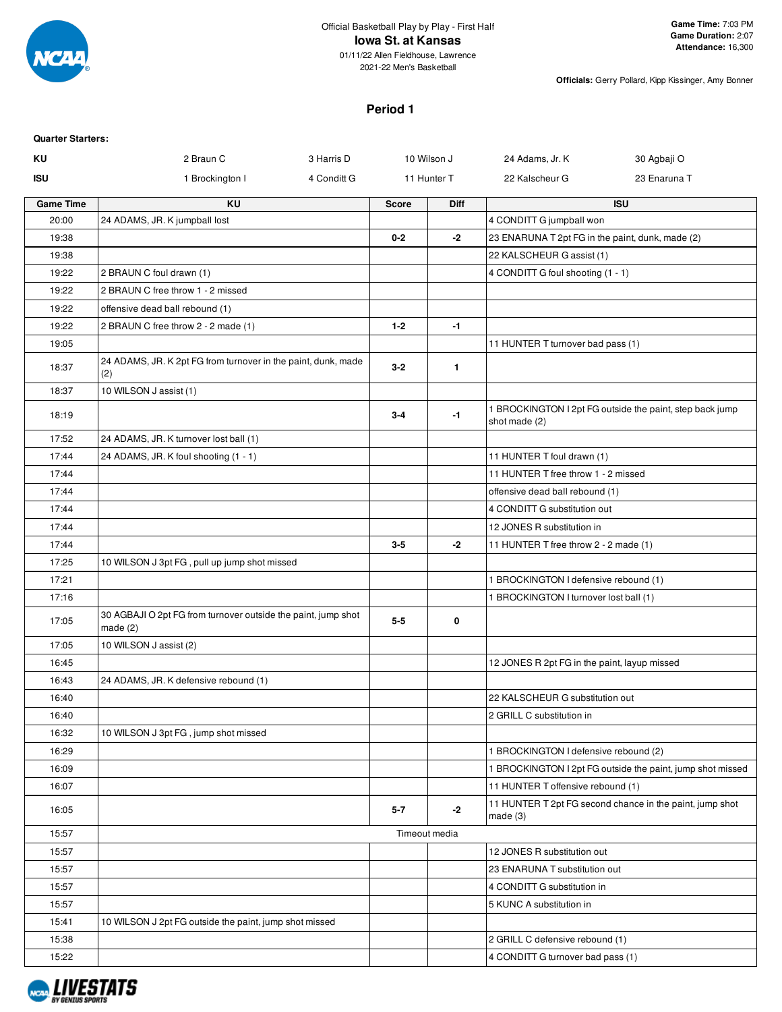

**Officials:** Gerry Pollard, Kipp Kissinger, Amy Bonner

# **Period 1**

| <b>Quarter Starters:</b> |                                                                             |             |              |               |                                                  |                                                            |
|--------------------------|-----------------------------------------------------------------------------|-------------|--------------|---------------|--------------------------------------------------|------------------------------------------------------------|
| KU                       | 2 Braun C                                                                   | 3 Harris D  |              | 10 Wilson J   | 24 Adams, Jr. K                                  | 30 Agbaji O                                                |
| ISU                      | 1 Brockington I                                                             | 4 Conditt G |              | 11 Hunter T   | 22 Kalscheur G                                   | 23 Enaruna T                                               |
| <b>Game Time</b>         | <b>KU</b>                                                                   |             | <b>Score</b> | Diff          |                                                  | <b>ISU</b>                                                 |
| 20:00                    | 24 ADAMS, JR. K jumpball lost                                               |             |              |               | 4 CONDITT G jumpball won                         |                                                            |
| 19:38                    |                                                                             |             | $0 - 2$      | $-2$          | 23 ENARUNA T 2pt FG in the paint, dunk, made (2) |                                                            |
| 19:38                    |                                                                             |             |              |               | 22 KALSCHEUR G assist (1)                        |                                                            |
| 19:22                    | 2 BRAUN C foul drawn (1)                                                    |             |              |               | 4 CONDITT G foul shooting (1 - 1)                |                                                            |
| 19:22                    | 2 BRAUN C free throw 1 - 2 missed                                           |             |              |               |                                                  |                                                            |
| 19:22                    | offensive dead ball rebound (1)                                             |             |              |               |                                                  |                                                            |
| 19:22                    | 2 BRAUN C free throw 2 - 2 made (1)                                         |             | $1 - 2$      | $-1$          |                                                  |                                                            |
| 19:05                    |                                                                             |             |              |               | 11 HUNTER T turnover bad pass (1)                |                                                            |
| 18:37                    | 24 ADAMS, JR. K 2pt FG from turnover in the paint, dunk, made<br>(2)        |             | $3 - 2$      | $\mathbf{1}$  |                                                  |                                                            |
| 18:37                    | 10 WILSON J assist (1)                                                      |             |              |               |                                                  |                                                            |
| 18:19                    |                                                                             |             | $3-4$        | $-1$          | shot made (2)                                    | 1 BROCKINGTON I 2pt FG outside the paint, step back jump   |
| 17:52                    | 24 ADAMS, JR. K turnover lost ball (1)                                      |             |              |               |                                                  |                                                            |
| 17:44                    | 24 ADAMS, JR. K foul shooting (1 - 1)                                       |             |              |               | 11 HUNTER T foul drawn (1)                       |                                                            |
| 17:44                    |                                                                             |             |              |               | 11 HUNTER T free throw 1 - 2 missed              |                                                            |
| 17:44                    |                                                                             |             |              |               | offensive dead ball rebound (1)                  |                                                            |
| 17:44                    |                                                                             |             |              |               | 4 CONDITT G substitution out                     |                                                            |
| 17:44                    |                                                                             |             |              |               | 12 JONES R substitution in                       |                                                            |
| 17:44                    |                                                                             |             | $3 - 5$      | -2            | 11 HUNTER T free throw 2 - 2 made (1)            |                                                            |
| 17:25                    | 10 WILSON J 3pt FG, pull up jump shot missed                                |             |              |               |                                                  |                                                            |
| 17:21                    |                                                                             |             |              |               | 1 BROCKINGTON I defensive rebound (1)            |                                                            |
| 17:16                    |                                                                             |             |              |               | 1 BROCKINGTON I turnover lost ball (1)           |                                                            |
| 17:05                    | 30 AGBAJI O 2pt FG from turnover outside the paint, jump shot<br>made $(2)$ |             | $5 - 5$      | 0             |                                                  |                                                            |
| 17:05                    | 10 WILSON J assist (2)                                                      |             |              |               |                                                  |                                                            |
| 16:45                    |                                                                             |             |              |               | 12 JONES R 2pt FG in the paint, layup missed     |                                                            |
| 16:43                    | 24 ADAMS, JR. K defensive rebound (1)                                       |             |              |               |                                                  |                                                            |
| 16:40                    |                                                                             |             |              |               | 22 KALSCHEUR G substitution out                  |                                                            |
| 16:40                    |                                                                             |             |              |               | 2 GRILL C substitution in                        |                                                            |
| 16:32                    | 10 WILSON J 3pt FG, jump shot missed                                        |             |              |               |                                                  |                                                            |
| 16:29                    |                                                                             |             |              |               | 1 BROCKINGTON I defensive rebound (2)            |                                                            |
| 16:09                    |                                                                             |             |              |               |                                                  | 1 BROCKINGTON I 2pt FG outside the paint, jump shot missed |
| 16:07                    |                                                                             |             |              |               | 11 HUNTER T offensive rebound (1)                |                                                            |
| 16:05                    |                                                                             |             | $5 - 7$      | $-2$          | made(3)                                          | 11 HUNTER T 2pt FG second chance in the paint, jump shot   |
| 15:57                    |                                                                             |             |              | Timeout media |                                                  |                                                            |
| 15:57                    |                                                                             |             |              |               | 12 JONES R substitution out                      |                                                            |
| 15:57                    |                                                                             |             |              |               | 23 ENARUNA T substitution out                    |                                                            |
| 15:57                    |                                                                             |             |              |               | 4 CONDITT G substitution in                      |                                                            |
| 15:57                    |                                                                             |             |              |               | 5 KUNC A substitution in                         |                                                            |
| 15:41                    | 10 WILSON J 2pt FG outside the paint, jump shot missed                      |             |              |               |                                                  |                                                            |
| 15:38                    |                                                                             |             |              |               | 2 GRILL C defensive rebound (1)                  |                                                            |
| 15:22                    |                                                                             |             |              |               | 4 CONDITT G turnover bad pass (1)                |                                                            |
|                          |                                                                             |             |              |               |                                                  |                                                            |

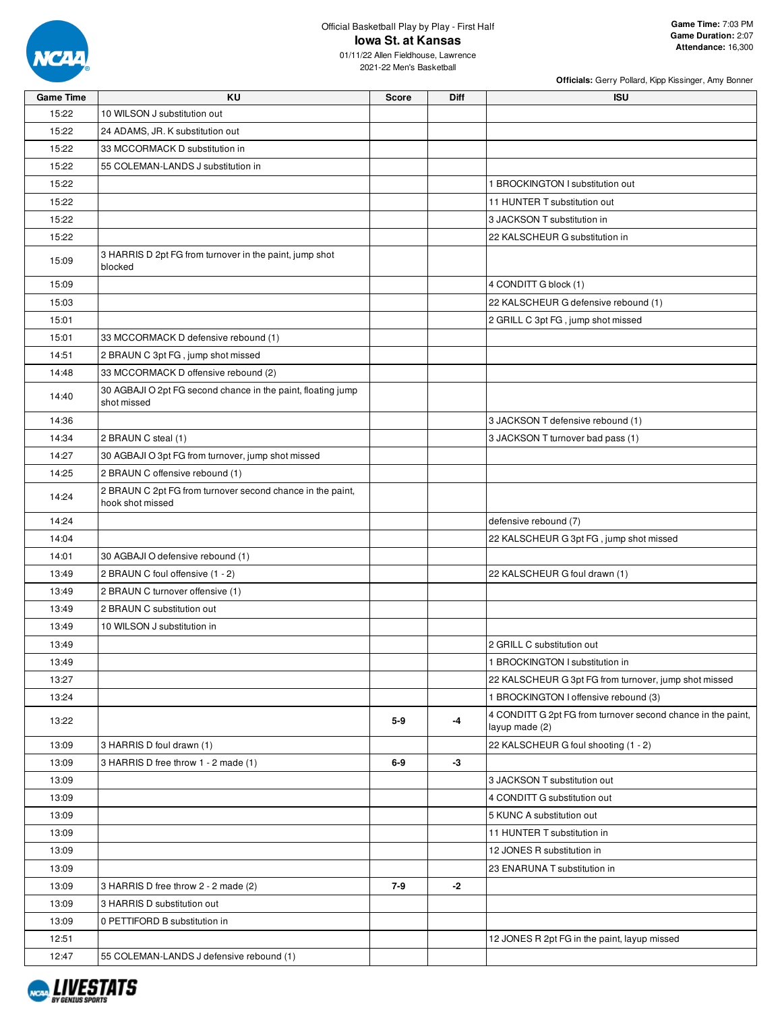

01/11/22 Allen Fieldhouse, Lawrence 2021-22 Men's Basketball

|                  |                                                                                |              |             | Officials: Gerry Pollard, Kipp Kissinger, Amy Bonner                           |
|------------------|--------------------------------------------------------------------------------|--------------|-------------|--------------------------------------------------------------------------------|
| <b>Game Time</b> | <b>KU</b>                                                                      | <b>Score</b> | <b>Diff</b> | <b>ISU</b>                                                                     |
| 15:22            | 10 WILSON J substitution out                                                   |              |             |                                                                                |
| 15:22            | 24 ADAMS, JR. K substitution out                                               |              |             |                                                                                |
| 15:22            | 33 MCCORMACK D substitution in                                                 |              |             |                                                                                |
| 15:22            | 55 COLEMAN-LANDS J substitution in                                             |              |             |                                                                                |
| 15:22            |                                                                                |              |             | 1 BROCKINGTON I substitution out                                               |
| 15:22            |                                                                                |              |             | 11 HUNTER T substitution out                                                   |
| 15:22            |                                                                                |              |             | 3 JACKSON T substitution in                                                    |
| 15:22            |                                                                                |              |             | 22 KALSCHEUR G substitution in                                                 |
| 15:09            | 3 HARRIS D 2pt FG from turnover in the paint, jump shot<br>blocked             |              |             |                                                                                |
| 15:09            |                                                                                |              |             | 4 CONDITT G block (1)                                                          |
| 15:03            |                                                                                |              |             | 22 KALSCHEUR G defensive rebound (1)                                           |
| 15:01            |                                                                                |              |             | 2 GRILL C 3pt FG, jump shot missed                                             |
| 15:01            | 33 MCCORMACK D defensive rebound (1)                                           |              |             |                                                                                |
| 14:51            | 2 BRAUN C 3pt FG, jump shot missed                                             |              |             |                                                                                |
| 14:48            | 33 MCCORMACK D offensive rebound (2)                                           |              |             |                                                                                |
| 14:40            | 30 AGBAJI O 2pt FG second chance in the paint, floating jump<br>shot missed    |              |             |                                                                                |
| 14:36            |                                                                                |              |             | 3 JACKSON T defensive rebound (1)                                              |
| 14:34            | 2 BRAUN C steal (1)                                                            |              |             | 3 JACKSON T turnover bad pass (1)                                              |
| 14:27            | 30 AGBAJI O 3pt FG from turnover, jump shot missed                             |              |             |                                                                                |
| 14:25            | 2 BRAUN C offensive rebound (1)                                                |              |             |                                                                                |
| 14:24            | 2 BRAUN C 2pt FG from turnover second chance in the paint,<br>hook shot missed |              |             |                                                                                |
| 14:24            |                                                                                |              |             | defensive rebound (7)                                                          |
| 14:04            |                                                                                |              |             | 22 KALSCHEUR G 3pt FG, jump shot missed                                        |
| 14:01            | 30 AGBAJI O defensive rebound (1)                                              |              |             |                                                                                |
| 13:49            | 2 BRAUN C foul offensive (1 - 2)                                               |              |             | 22 KALSCHEUR G foul drawn (1)                                                  |
| 13:49            | 2 BRAUN C turnover offensive (1)                                               |              |             |                                                                                |
| 13:49            | 2 BRAUN C substitution out                                                     |              |             |                                                                                |
| 13:49            | 10 WILSON J substitution in                                                    |              |             |                                                                                |
| 13:49            |                                                                                |              |             | 2 GRILL C substitution out                                                     |
| 13:49            |                                                                                |              |             | 1 BROCKINGTON I substitution in                                                |
| 13:27            |                                                                                |              |             | 22 KALSCHEUR G 3pt FG from turnover, jump shot missed                          |
| 13:24            |                                                                                |              |             | 1 BROCKINGTON I offensive rebound (3)                                          |
| 13:22            |                                                                                | $5-9$        | $-4$        | 4 CONDITT G 2pt FG from turnover second chance in the paint,<br>layup made (2) |
| 13:09            | 3 HARRIS D foul drawn (1)                                                      |              |             | 22 KALSCHEUR G foul shooting (1 - 2)                                           |
| 13:09            | 3 HARRIS D free throw 1 - 2 made (1)                                           | $6-9$        | $-3$        |                                                                                |
| 13:09            |                                                                                |              |             | 3 JACKSON T substitution out                                                   |
| 13:09            |                                                                                |              |             | 4 CONDITT G substitution out                                                   |
| 13:09            |                                                                                |              |             | 5 KUNC A substitution out                                                      |
| 13:09            |                                                                                |              |             | 11 HUNTER T substitution in                                                    |
| 13:09            |                                                                                |              |             | 12 JONES R substitution in                                                     |
| 13:09            |                                                                                |              |             | 23 ENARUNA T substitution in                                                   |
| 13:09            | 3 HARRIS D free throw 2 - 2 made (2)                                           | $7-9$        | $-2$        |                                                                                |
| 13:09            | 3 HARRIS D substitution out                                                    |              |             |                                                                                |
|                  |                                                                                |              |             |                                                                                |
| 13:09            | 0 PETTIFORD B substitution in                                                  |              |             |                                                                                |
| 12:51            |                                                                                |              |             | 12 JONES R 2pt FG in the paint, layup missed                                   |
| 12:47            | 55 COLEMAN-LANDS J defensive rebound (1)                                       |              |             |                                                                                |

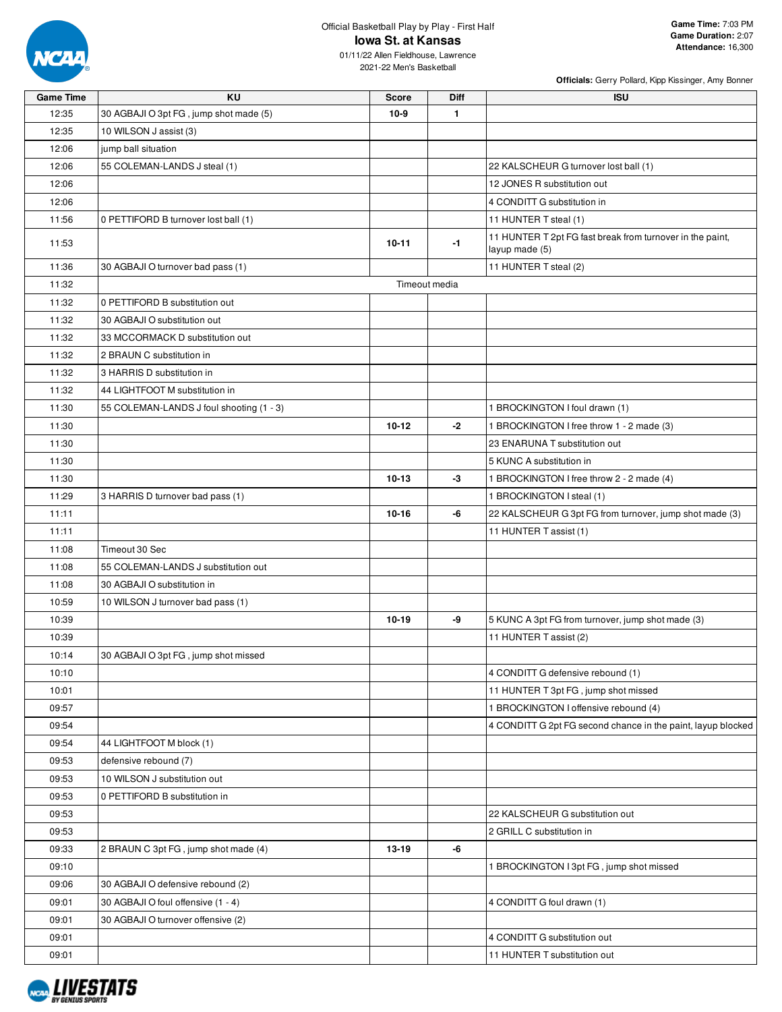

| <b>Game Time</b> | KU                                       | <b>Score</b> | Diff          | <b>ISU</b>                                                                  |
|------------------|------------------------------------------|--------------|---------------|-----------------------------------------------------------------------------|
| 12:35            | 30 AGBAJI O 3pt FG, jump shot made (5)   | $10-9$       | $\mathbf{1}$  |                                                                             |
| 12:35            | 10 WILSON J assist (3)                   |              |               |                                                                             |
| 12:06            | jump ball situation                      |              |               |                                                                             |
| 12:06            | 55 COLEMAN-LANDS J steal (1)             |              |               | 22 KALSCHEUR G turnover lost ball (1)                                       |
| 12:06            |                                          |              |               | 12 JONES R substitution out                                                 |
| 12:06            |                                          |              |               | 4 CONDITT G substitution in                                                 |
| 11:56            | 0 PETTIFORD B turnover lost ball (1)     |              |               | 11 HUNTER T steal (1)                                                       |
| 11:53            |                                          | $10 - 11$    | $-1$          | 11 HUNTER T 2pt FG fast break from turnover in the paint,<br>layup made (5) |
| 11:36            | 30 AGBAJI O turnover bad pass (1)        |              |               | 11 HUNTER T steal (2)                                                       |
| 11:32            |                                          |              | Timeout media |                                                                             |
| 11:32            | 0 PETTIFORD B substitution out           |              |               |                                                                             |
| 11:32            | 30 AGBAJI O substitution out             |              |               |                                                                             |
| 11:32            | 33 MCCORMACK D substitution out          |              |               |                                                                             |
| 11:32            | 2 BRAUN C substitution in                |              |               |                                                                             |
| 11:32            | 3 HARRIS D substitution in               |              |               |                                                                             |
| 11:32            | 44 LIGHTFOOT M substitution in           |              |               |                                                                             |
| 11:30            | 55 COLEMAN-LANDS J foul shooting (1 - 3) |              |               | 1 BROCKINGTON I foul drawn (1)                                              |
| 11:30            |                                          | $10 - 12$    | $-2$          | 1 BROCKINGTON I free throw 1 - 2 made (3)                                   |
| 11:30            |                                          |              |               | 23 ENARUNA T substitution out                                               |
| 11:30            |                                          |              |               | 5 KUNC A substitution in                                                    |
| 11:30            |                                          | $10 - 13$    | -3            | 1 BROCKINGTON I free throw 2 - 2 made (4)                                   |
| 11:29            | 3 HARRIS D turnover bad pass (1)         |              |               | 1 BROCKINGTON I steal (1)                                                   |
| 11:11            |                                          | $10 - 16$    | -6            | 22 KALSCHEUR G 3pt FG from turnover, jump shot made (3)                     |
| 11:11            |                                          |              |               | 11 HUNTER T assist (1)                                                      |
| 11:08            | Timeout 30 Sec                           |              |               |                                                                             |
| 11:08            | 55 COLEMAN-LANDS J substitution out      |              |               |                                                                             |
| 11:08            | 30 AGBAJI O substitution in              |              |               |                                                                             |
| 10:59            | 10 WILSON J turnover bad pass (1)        |              |               |                                                                             |
| 10:39            |                                          | $10 - 19$    | -9            | 5 KUNC A 3pt FG from turnover, jump shot made (3)                           |
| 10:39            |                                          |              |               | 11 HUNTER T assist (2)                                                      |
| 10:14            | 30 AGBAJI O 3pt FG, jump shot missed     |              |               |                                                                             |
| 10:10            |                                          |              |               | 4 CONDITT G defensive rebound (1)                                           |
| 10:01            |                                          |              |               | 11 HUNTER T 3pt FG, jump shot missed                                        |
| 09:57            |                                          |              |               | 1 BROCKINGTON I offensive rebound (4)                                       |
| 09:54            |                                          |              |               | 4 CONDITT G 2pt FG second chance in the paint, layup blocked                |
| 09:54            | 44 LIGHTFOOT M block (1)                 |              |               |                                                                             |
| 09:53            | defensive rebound (7)                    |              |               |                                                                             |
| 09:53            | 10 WILSON J substitution out             |              |               |                                                                             |
| 09:53            | 0 PETTIFORD B substitution in            |              |               |                                                                             |
| 09:53            |                                          |              |               | 22 KALSCHEUR G substitution out                                             |
| 09:53            |                                          |              |               | 2 GRILL C substitution in                                                   |
| 09:33            | 2 BRAUN C 3pt FG, jump shot made (4)     | 13-19        | -6            |                                                                             |
| 09:10            |                                          |              |               | 1 BROCKINGTON I 3pt FG, jump shot missed                                    |
| 09:06            | 30 AGBAJI O defensive rebound (2)        |              |               |                                                                             |
| 09:01            | 30 AGBAJI O foul offensive (1 - 4)       |              |               | 4 CONDITT G foul drawn (1)                                                  |
| 09:01            | 30 AGBAJI O turnover offensive (2)       |              |               |                                                                             |
| 09:01            |                                          |              |               | 4 CONDITT G substitution out                                                |
| 09:01            |                                          |              |               | 11 HUNTER T substitution out                                                |

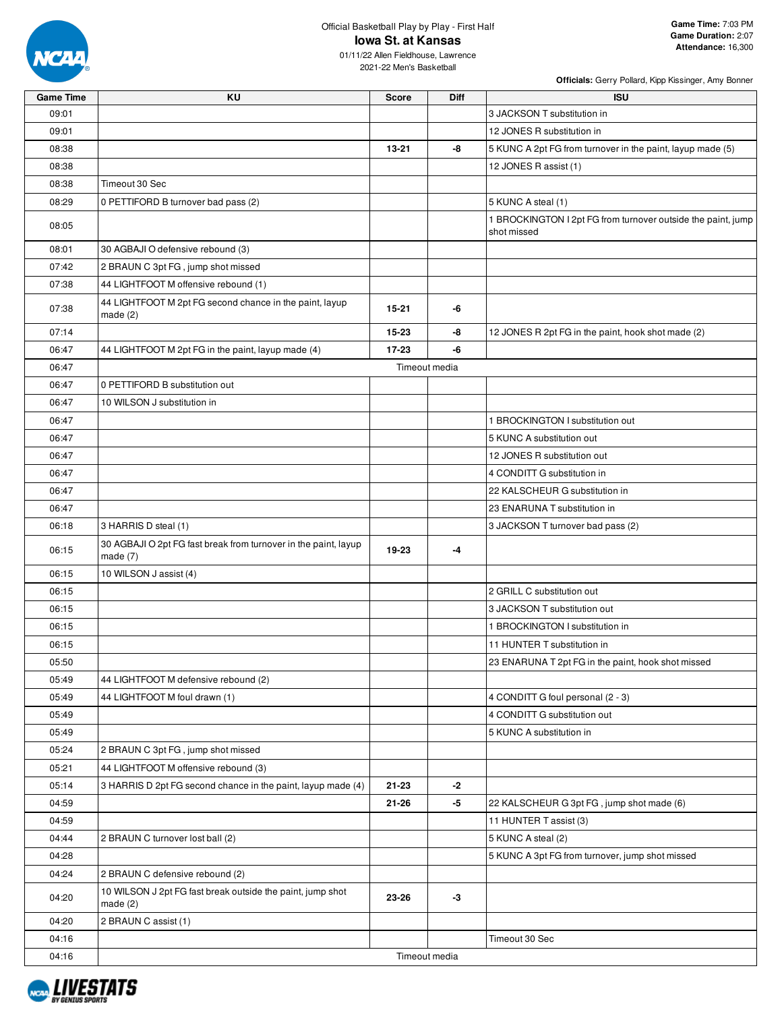

01/11/22 Allen Fieldhouse, Lawrence 2021-22 Men's Basketball

| <b>Game Time</b> | KU                                                                            | Score     | Diff          | <b>ISU</b>                                                                  |
|------------------|-------------------------------------------------------------------------------|-----------|---------------|-----------------------------------------------------------------------------|
| 09:01            |                                                                               |           |               | 3 JACKSON T substitution in                                                 |
| 09:01            |                                                                               |           |               | 12 JONES R substitution in                                                  |
| 08:38            |                                                                               | 13-21     | -8            | 5 KUNC A 2pt FG from turnover in the paint, layup made (5)                  |
| 08:38            |                                                                               |           |               | 12 JONES R assist (1)                                                       |
| 08:38            | Timeout 30 Sec                                                                |           |               |                                                                             |
| 08:29            | 0 PETTIFORD B turnover bad pass (2)                                           |           |               | 5 KUNC A steal (1)                                                          |
| 08:05            |                                                                               |           |               | 1 BROCKINGTON I 2pt FG from turnover outside the paint, jump<br>shot missed |
| 08:01            | 30 AGBAJI O defensive rebound (3)                                             |           |               |                                                                             |
| 07:42            | 2 BRAUN C 3pt FG, jump shot missed                                            |           |               |                                                                             |
| 07:38            | 44 LIGHTFOOT M offensive rebound (1)                                          |           |               |                                                                             |
| 07:38            | 44 LIGHTFOOT M 2pt FG second chance in the paint, layup<br>made $(2)$         | $15 - 21$ | -6            |                                                                             |
| 07:14            |                                                                               | 15-23     | -8            | 12 JONES R 2pt FG in the paint, hook shot made (2)                          |
| 06:47            | 44 LIGHTFOOT M 2pt FG in the paint, layup made (4)                            | $17 - 23$ | -6            |                                                                             |
| 06:47            |                                                                               |           | Timeout media |                                                                             |
| 06:47            | 0 PETTIFORD B substitution out                                                |           |               |                                                                             |
| 06:47            | 10 WILSON J substitution in                                                   |           |               |                                                                             |
| 06:47            |                                                                               |           |               | 1 BROCKINGTON I substitution out                                            |
| 06:47            |                                                                               |           |               | 5 KUNC A substitution out                                                   |
| 06:47            |                                                                               |           |               | 12 JONES R substitution out                                                 |
| 06:47            |                                                                               |           |               | 4 CONDITT G substitution in                                                 |
| 06:47            |                                                                               |           |               | 22 KALSCHEUR G substitution in                                              |
| 06:47            |                                                                               |           |               | 23 ENARUNA T substitution in                                                |
| 06:18            | 3 HARRIS D steal (1)                                                          |           |               | 3 JACKSON T turnover bad pass (2)                                           |
| 06:15            | 30 AGBAJI O 2pt FG fast break from turnover in the paint, layup<br>made $(7)$ | 19-23     | -4            |                                                                             |
| 06:15            | 10 WILSON J assist (4)                                                        |           |               |                                                                             |
| 06:15            |                                                                               |           |               | 2 GRILL C substitution out                                                  |
| 06:15            |                                                                               |           |               | 3 JACKSON T substitution out                                                |
| 06:15            |                                                                               |           |               | 1 BROCKINGTON I substitution in                                             |
| 06:15            |                                                                               |           |               | 11 HUNTER T substitution in                                                 |
| 05:50            |                                                                               |           |               | 23 ENARUNA T 2pt FG in the paint, hook shot missed                          |
| 05:49            | 44 LIGHTFOOT M defensive rebound (2)                                          |           |               |                                                                             |
| 05:49            | 44 LIGHTFOOT M foul drawn (1)                                                 |           |               | 4 CONDITT G foul personal (2 - 3)                                           |
| 05:49            |                                                                               |           |               | 4 CONDITT G substitution out                                                |
| 05:49            |                                                                               |           |               | 5 KUNC A substitution in                                                    |
| 05:24            | 2 BRAUN C 3pt FG, jump shot missed                                            |           |               |                                                                             |
| 05:21            | 44 LIGHTFOOT M offensive rebound (3)                                          |           |               |                                                                             |
| 05:14            | 3 HARRIS D 2pt FG second chance in the paint, layup made (4)                  | 21-23     | -2            |                                                                             |
| 04:59            |                                                                               | 21-26     | -5            | 22 KALSCHEUR G 3pt FG, jump shot made (6)                                   |
| 04:59            |                                                                               |           |               | 11 HUNTER T assist (3)                                                      |
| 04:44            | 2 BRAUN C turnover lost ball (2)                                              |           |               | 5 KUNC A steal (2)                                                          |
| 04:28            |                                                                               |           |               | 5 KUNC A 3pt FG from turnover, jump shot missed                             |
| 04:24            | 2 BRAUN C defensive rebound (2)                                               |           |               |                                                                             |
| 04:20            | 10 WILSON J 2pt FG fast break outside the paint, jump shot<br>made $(2)$      | 23-26     | -3            |                                                                             |
| 04:20            | 2 BRAUN C assist (1)                                                          |           |               |                                                                             |
| 04:16            |                                                                               |           |               | Timeout 30 Sec                                                              |
| 04:16            |                                                                               |           | Timeout media |                                                                             |

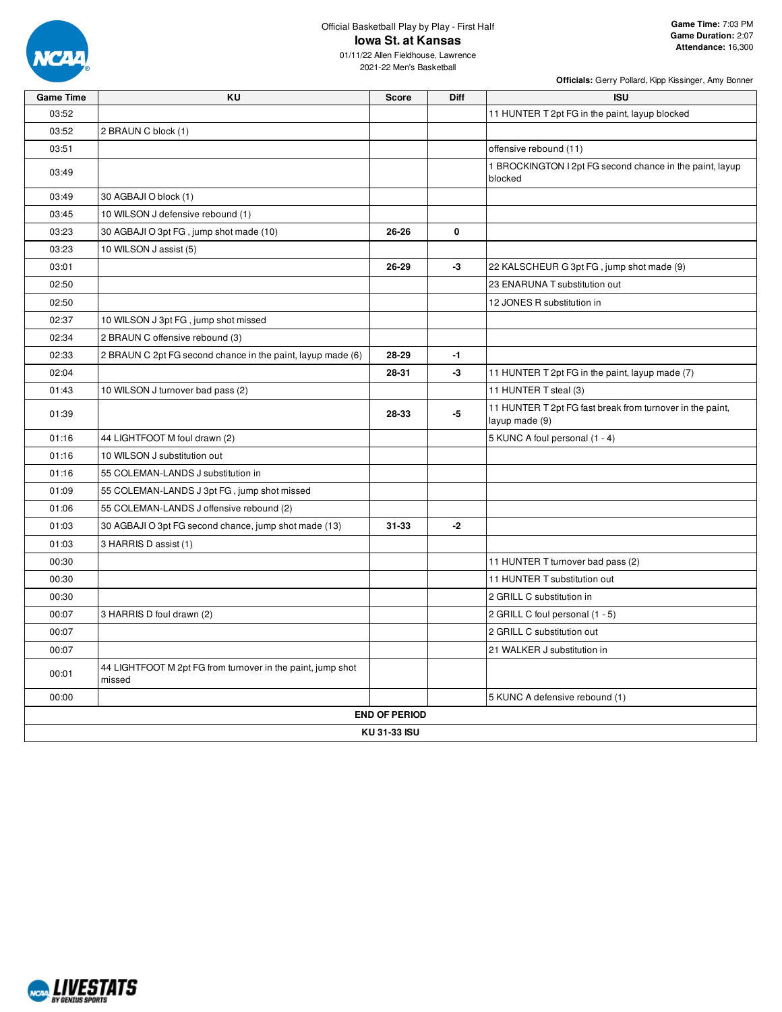

01/11/22 Allen Fieldhouse, Lawrence 2021-22 Men's Basketball

| <b>Game Time</b> | KU                                                                    | <b>Score</b>         | <b>Diff</b> | <b>ISU</b>                                                                  |
|------------------|-----------------------------------------------------------------------|----------------------|-------------|-----------------------------------------------------------------------------|
| 03:52            |                                                                       |                      |             | 11 HUNTER T 2pt FG in the paint, layup blocked                              |
| 03:52            | 2 BRAUN C block (1)                                                   |                      |             |                                                                             |
| 03:51            |                                                                       |                      |             | offensive rebound (11)                                                      |
| 03:49            |                                                                       |                      |             | 1 BROCKINGTON I 2pt FG second chance in the paint, layup<br>blocked         |
| 03:49            | 30 AGBAJI O block (1)                                                 |                      |             |                                                                             |
| 03:45            | 10 WILSON J defensive rebound (1)                                     |                      |             |                                                                             |
| 03:23            | 30 AGBAJI O 3pt FG, jump shot made (10)                               | 26-26                | 0           |                                                                             |
| 03:23            | 10 WILSON J assist (5)                                                |                      |             |                                                                             |
| 03:01            |                                                                       | 26-29                | -3          | 22 KALSCHEUR G 3pt FG, jump shot made (9)                                   |
| 02:50            |                                                                       |                      |             | 23 ENARUNA T substitution out                                               |
| 02:50            |                                                                       |                      |             | 12 JONES R substitution in                                                  |
| 02:37            | 10 WILSON J 3pt FG, jump shot missed                                  |                      |             |                                                                             |
| 02:34            | 2 BRAUN C offensive rebound (3)                                       |                      |             |                                                                             |
| 02:33            | 2 BRAUN C 2pt FG second chance in the paint, layup made (6)           | 28-29                | $-1$        |                                                                             |
| 02:04            |                                                                       | 28-31                | -3          | 11 HUNTER T 2pt FG in the paint, layup made (7)                             |
| 01:43            | 10 WILSON J turnover bad pass (2)                                     |                      |             | 11 HUNTER T steal (3)                                                       |
| 01:39            |                                                                       | 28-33                | -5          | 11 HUNTER T 2pt FG fast break from turnover in the paint,<br>layup made (9) |
| 01:16            | 44 LIGHTFOOT M foul drawn (2)                                         |                      |             | 5 KUNC A foul personal (1 - 4)                                              |
| 01:16            | 10 WILSON J substitution out                                          |                      |             |                                                                             |
| 01:16            | 55 COLEMAN-LANDS J substitution in                                    |                      |             |                                                                             |
| 01:09            | 55 COLEMAN-LANDS J 3pt FG, jump shot missed                           |                      |             |                                                                             |
| 01:06            | 55 COLEMAN-LANDS J offensive rebound (2)                              |                      |             |                                                                             |
| 01:03            | 30 AGBAJI O 3pt FG second chance, jump shot made (13)                 | $31 - 33$            | -2          |                                                                             |
| 01:03            | 3 HARRIS D assist (1)                                                 |                      |             |                                                                             |
| 00:30            |                                                                       |                      |             | 11 HUNTER T turnover bad pass (2)                                           |
| 00:30            |                                                                       |                      |             | 11 HUNTER T substitution out                                                |
| 00:30            |                                                                       |                      |             | 2 GRILL C substitution in                                                   |
| 00:07            | 3 HARRIS D foul drawn (2)                                             |                      |             | 2 GRILL C foul personal (1 - 5)                                             |
| 00:07            |                                                                       |                      |             | 2 GRILL C substitution out                                                  |
| 00:07            |                                                                       |                      |             | 21 WALKER J substitution in                                                 |
| 00:01            | 44 LIGHTFOOT M 2pt FG from turnover in the paint, jump shot<br>missed |                      |             |                                                                             |
| 00:00            |                                                                       |                      |             | 5 KUNC A defensive rebound (1)                                              |
|                  |                                                                       | <b>END OF PERIOD</b> |             |                                                                             |
|                  |                                                                       | KU 31-33 ISU         |             |                                                                             |

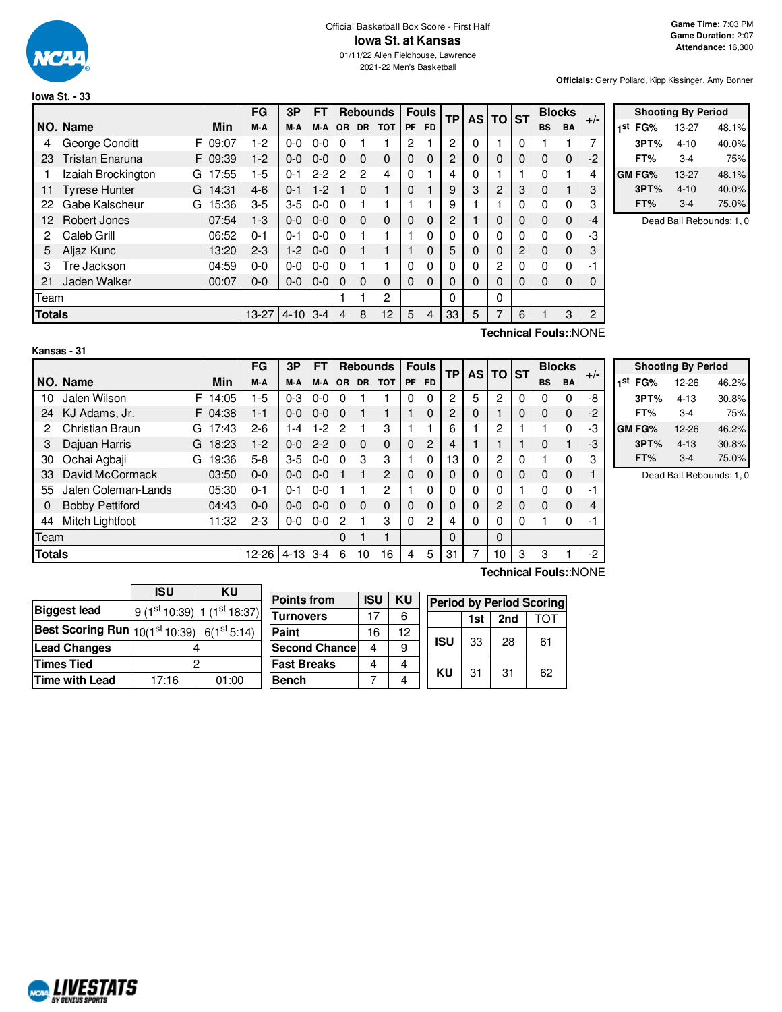

# Official Basketball Box Score - First Half **Iowa St. at Kansas**

01/11/22 Allen Fieldhouse, Lawrence 2021-22 Men's Basketball

**Officials:** Gerry Pollard, Kipp Kissinger, Amy Bonner

|                                        |                           |       | FG      | 3P      | <b>FT</b> |               | <b>Rebounds</b> |             |           | <b>Fouls</b> | <b>TP</b> | AS I | <b>TO ST</b> |          |             | <b>Blocks</b> | $+/-$ |
|----------------------------------------|---------------------------|-------|---------|---------|-----------|---------------|-----------------|-------------|-----------|--------------|-----------|------|--------------|----------|-------------|---------------|-------|
|                                        | NO. Name                  | Min   | M-A     | M-A     | M-A       | OR.           | <b>DR</b>       | <b>TOT</b>  | <b>PF</b> | <b>FD</b>    |           |      |              |          | <b>BS</b>   | <b>BA</b>     |       |
| 4                                      | F<br>George Conditt       | 09:07 | $1-2$   | $0 - 0$ | $0-0$     | 0             |                 |             | 2         |              | 2         | 0    |              | 0        |             |               | 7     |
| 23                                     | F<br>Tristan Enaruna      | 09:39 | $1-2$   | $0 - 0$ | $0-0$     | 0             | $\Omega$        | $\mathbf 0$ | $\Omega$  | $\Omega$     | 2         | 0    | 0            | 0        | $\Omega$    | $\Omega$      | $-2$  |
|                                        | Izaiah Brockington<br>G   | 17:55 | $1-5$   | 0-1     | $2 - 2$   | $\mathcal{P}$ | 2               | 4           | 0         |              | 4         | 0    |              |          | $\Omega$    |               | 4     |
| 11                                     | <b>Tyrese Hunter</b><br>G | 14:31 | $4-6$   | $0 - 1$ | $1-2$     |               | $\Omega$        | 1           | 0         |              | 9         | 3    | 2            | 3        | $\mathbf 0$ |               | 3     |
| 22                                     | Gabe Kalscheur<br>G       | 15:36 | $3-5$   | $3-5$   | $0-0$     | 0             |                 |             |           |              | 9         |      |              | $\Omega$ | $\Omega$    | 0             | 3     |
| 12                                     | Robert Jones              | 07:54 | $1-3$   | $0 - 0$ | $0 - 0$   | 0             | $\Omega$        | $\Omega$    | 0         | $\Omega$     | 2         |      | 0            | 0        | $\Omega$    | $\Omega$      | -4    |
| 2                                      | Caleb Grill               | 06:52 | $0 - 1$ | $0 - 1$ | $0 - 0$   | 0             |                 |             |           | $\Omega$     | 0         | 0    | 0            | $\Omega$ | $\Omega$    | 0             | -3    |
| 5                                      | Aljaz Kunc                | 13:20 | $2 - 3$ | $1 - 2$ | $0 - 0$   | 0             |                 |             |           | $\Omega$     | 5         | 0    | 0            | 2        | $\mathbf 0$ | $\Omega$      | 3     |
| 3                                      | Tre Jackson               | 04:59 | $0 - 0$ | $0 - 0$ | $0-0$     | $\Omega$      |                 |             | 0         | $\Omega$     | 0         | 0    | 2            | $\Omega$ | $\Omega$    | 0             | -1    |
| 21                                     | Jaden Walker              | 00:07 | $0-0$   | $0 - 0$ | $0-0$     | 0             | $\Omega$        | $\Omega$    | 0         | $\Omega$     | 0         | 0    | 0            | 0        | $\Omega$    | 0             | 0     |
| Team                                   |                           |       |         |         |           |               |                 | 2           |           |              | $\Omega$  |      | $\Omega$     |          |             |               |       |
| <b>Totals</b><br>$13 - 27$<br>$4 - 10$ |                           |       |         |         | $3 - 4$   | 4             | 8               | 12          | 5         | 4            | 33        | 5    | 7            | 6        |             | 3             | 2     |
|                                        | Technical Fouls::NONE     |       |         |         |           |               |                 |             |           |              |           |      |              |          |             |               |       |

|     | <b>Shooting By Period</b> |          |       |  |  |  |  |  |  |  |
|-----|---------------------------|----------|-------|--|--|--|--|--|--|--|
| 1st | FG%                       | 13-27    | 48.1% |  |  |  |  |  |  |  |
|     | 3PT%                      | $4 - 10$ | 40.0% |  |  |  |  |  |  |  |
|     | FT%                       | $3-4$    | 75%   |  |  |  |  |  |  |  |
|     | <b>GM FG%</b>             | 13-27    | 48.1% |  |  |  |  |  |  |  |
|     | 3PT%                      | $4 - 10$ | 40.0% |  |  |  |  |  |  |  |
|     | FT%                       | $3-4$    | 75.0% |  |  |  |  |  |  |  |

Dead Ball Rebounds: 1, 0

|               | Kansas - 31            |    |       |           |          |         |           |           |                 |           |              |    |              |          |           |           |               |       |
|---------------|------------------------|----|-------|-----------|----------|---------|-----------|-----------|-----------------|-----------|--------------|----|--------------|----------|-----------|-----------|---------------|-------|
|               |                        |    |       | FG        | 3P       | FT      |           |           | <b>Rebounds</b> |           | <b>Fouls</b> | ТP | <b>AS</b>    | TO       | <b>ST</b> |           | <b>Blocks</b> |       |
|               | NO. Name               |    | Min   | M-A       | M-A      | M-A     | <b>OR</b> | <b>DR</b> | <b>TOT</b>      | <b>PF</b> | <b>FD</b>    |    |              |          |           | <b>BS</b> | <b>BA</b>     | $+/-$ |
| 10            | Jalen Wilson           | F  | 14:05 | 1-5       | $0 - 3$  | $0-0$   | $\Omega$  |           |                 | 0         | $\Omega$     | 2  | 5            | 2        | 0         | $\Omega$  | $\Omega$      | -8    |
| 24            | KJ Adams, Jr.          | F  | 04:38 | $1 - 1$   | $0 - 0$  | $0-0$   | $\Omega$  |           | 1               |           | 0            | 2  | 0            |          | 0         | $\Omega$  | $\mathbf 0$   | $-2$  |
| 2             | Christian Braun        | G  | 17:43 | $2 - 6$   | 1-4      | $1-2$   | 2         |           | 3               |           |              | 6  |              | 2        |           |           | $\Omega$      | -3    |
| 3             | Dajuan Harris          | GI | 18:23 | $1-2$     | $0 - 0$  | $2 - 2$ | $\Omega$  | $\Omega$  | $\Omega$        | $\Omega$  | 2            | 4  |              |          |           | 0         | 1             | -3    |
| 30            | Ochai Agbaji           | G  | 19:36 | $5 - 8$   | $3-5$    | $0-0$   | $\Omega$  | 3         | 3               |           | $\Omega$     | 13 | $\mathbf{0}$ | 2        | 0         |           | $\Omega$      | 3     |
| 33            | David McCormack        |    | 03:50 | $0 - 0$   | $0 - 0$  | $0-0$   |           |           | $\overline{2}$  | $\Omega$  | $\Omega$     | 0  | $\mathbf 0$  | $\Omega$ | $\Omega$  | 0         | 0             |       |
| 55            | Jalen Coleman-Lands    |    | 05:30 | $0 - 1$   | $0 - 1$  | $0 - 0$ |           |           | $\overline{2}$  |           | 0            | 0  | 0            | 0        |           | 0         | 0             | -1    |
| 0             | <b>Bobby Pettiford</b> |    | 04:43 | $0 - 0$   | $0 - 0$  | $0 - 0$ | $\Omega$  | $\Omega$  | $\Omega$        | $\Omega$  | $\Omega$     | 0  | $\Omega$     | 2        | 0         | $\Omega$  | $\Omega$      | 4     |
| 44            | Mitch Lightfoot        |    | 11:32 | $2 - 3$   | $0-0$    | $0-0$   | 2         |           | 3               | $\Omega$  | 2            | 4  | $\Omega$     | $\Omega$ | $\Omega$  |           | 0             | $-1$  |
| Team          |                        |    |       |           |          |         | $\Omega$  |           | 1               |           |              | 0  |              | $\Omega$ |           |           |               |       |
| <b>Totals</b> |                        |    |       | $12 - 26$ | $4 - 13$ | $3 - 4$ | 6         | 10        | 16              | 4         | 5            | 31 |              | 10       | 3         | 3         |               | $-2$  |

| <b>Shooting By Period</b> |           |       |  |  |  |  |  |  |  |  |
|---------------------------|-----------|-------|--|--|--|--|--|--|--|--|
| 1st<br>FG%                | 12-26     | 46.2% |  |  |  |  |  |  |  |  |
| 3PT%                      | $4 - 13$  | 30.8% |  |  |  |  |  |  |  |  |
| FT%                       | $3-4$     | 75%   |  |  |  |  |  |  |  |  |
| GM FG%                    | $12 - 26$ | 46.2% |  |  |  |  |  |  |  |  |
| 3PT%                      | $4 - 13$  | 30.8% |  |  |  |  |  |  |  |  |
| FT%                       | $3-4$     | 75.0% |  |  |  |  |  |  |  |  |

Dead Ball Rebounds: 1, 0

|                                                                              | ISU                       | KU    |                       |            |           |            |     |     |                                 |
|------------------------------------------------------------------------------|---------------------------|-------|-----------------------|------------|-----------|------------|-----|-----|---------------------------------|
|                                                                              |                           |       | <b>Points from</b>    | <b>ISU</b> | <b>KU</b> |            |     |     | <b>Period by Period Scoring</b> |
| <b>Biggest lead</b>                                                          | $9(1st10:39) 1(1st18:37)$ |       | <b>Turnovers</b>      | 17         | 6         |            | 1st | 2nd | ТОТ                             |
| Best Scoring Run $\left  10(1^\text{st}10.39) \right  \, 6(1^\text{st}5.14)$ |                           |       | Paint                 | 16         | 12        |            |     |     |                                 |
| <b>Lead Changes</b>                                                          | 4                         |       | <b>Second Chancel</b> | 4          | 9         | <b>ISU</b> | 33  | 28  | 61                              |
| <b>Times Tied</b>                                                            | ŋ                         |       | <b>Fast Breaks</b>    | 4          | 4         | KU         | 31  | 31  |                                 |
| Time with Lead                                                               | 17:16                     | 01:00 | <b>Bench</b>          |            | 4         |            |     |     | 62                              |

**Technical Fouls:**:NONE

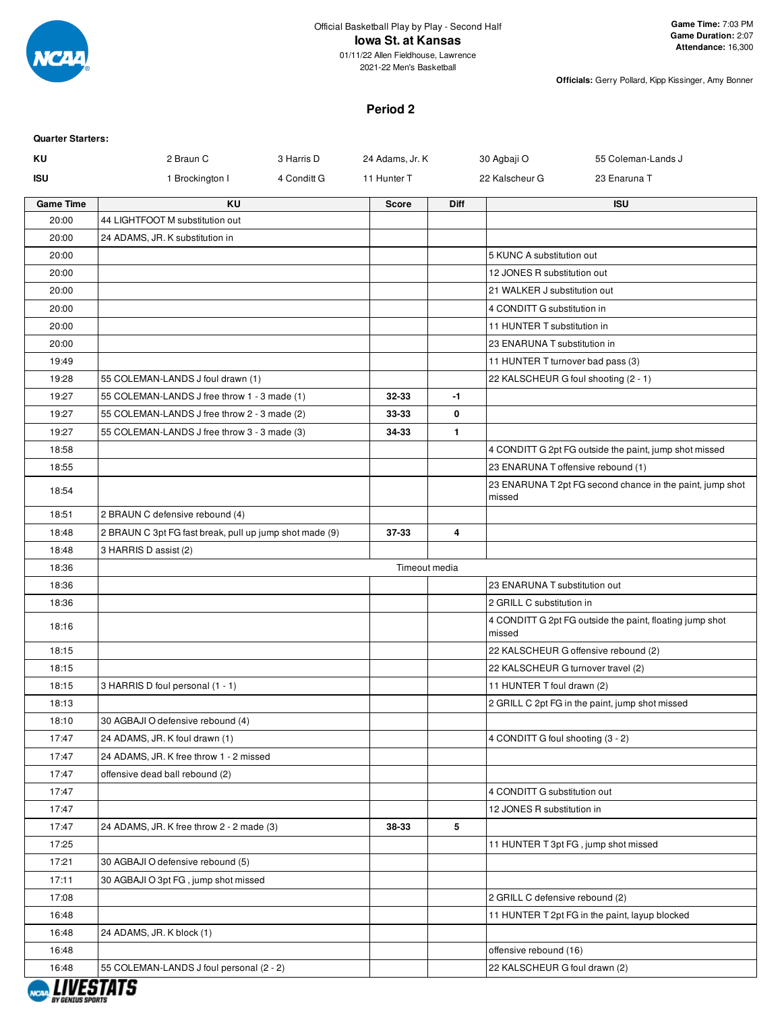

2021-22 Men's Basketball

**Officials:** Gerry Pollard, Kipp Kissinger, Amy Bonner

## **Period 2**

| <b>Quarter Starters:</b> |                                                          |             |                 |             |                                    |                                                           |
|--------------------------|----------------------------------------------------------|-------------|-----------------|-------------|------------------------------------|-----------------------------------------------------------|
| ΚU                       | 2 Braun C                                                | 3 Harris D  | 24 Adams, Jr. K |             | 30 Agbaji O                        | 55 Coleman-Lands J                                        |
| <b>ISU</b>               | 1 Brockington I                                          | 4 Conditt G | 11 Hunter T     |             | 22 Kalscheur G                     | 23 Enaruna T                                              |
| <b>Game Time</b>         | <b>KU</b>                                                |             | <b>Score</b>    | <b>Diff</b> |                                    | <b>ISU</b>                                                |
| 20:00                    | 44 LIGHTFOOT M substitution out                          |             |                 |             |                                    |                                                           |
| 20:00                    | 24 ADAMS, JR. K substitution in                          |             |                 |             |                                    |                                                           |
| 20:00                    |                                                          |             |                 |             | 5 KUNC A substitution out          |                                                           |
| 20:00                    |                                                          |             |                 |             | 12 JONES R substitution out        |                                                           |
| 20:00                    |                                                          |             |                 |             | 21 WALKER J substitution out       |                                                           |
| 20:00                    |                                                          |             |                 |             | 4 CONDITT G substitution in        |                                                           |
| 20:00                    |                                                          |             |                 |             | 11 HUNTER T substitution in        |                                                           |
| 20:00                    |                                                          |             |                 |             | 23 ENARUNA T substitution in       |                                                           |
| 19:49                    |                                                          |             |                 |             | 11 HUNTER T turnover bad pass (3)  |                                                           |
| 19:28                    | 55 COLEMAN-LANDS J foul drawn (1)                        |             |                 |             |                                    | 22 KALSCHEUR G foul shooting (2 - 1)                      |
| 19:27                    | 55 COLEMAN-LANDS J free throw 1 - 3 made (1)             |             | 32-33           | $-1$        |                                    |                                                           |
| 19:27                    | 55 COLEMAN-LANDS J free throw 2 - 3 made (2)             |             | 33-33           | 0           |                                    |                                                           |
| 19:27                    | 55 COLEMAN-LANDS J free throw 3 - 3 made (3)             |             | 34-33           | 1.          |                                    |                                                           |
| 18:58                    |                                                          |             |                 |             |                                    | 4 CONDITT G 2pt FG outside the paint, jump shot missed    |
| 18:55                    |                                                          |             |                 |             | 23 ENARUNA T offensive rebound (1) |                                                           |
| 18:54                    |                                                          |             |                 |             | missed                             | 23 ENARUNA T 2pt FG second chance in the paint, jump shot |
| 18:51                    | 2 BRAUN C defensive rebound (4)                          |             |                 |             |                                    |                                                           |
| 18:48                    | 2 BRAUN C 3pt FG fast break, pull up jump shot made (9)  |             | 37-33           | 4           |                                    |                                                           |
| 18:48                    | 3 HARRIS D assist (2)                                    |             |                 |             |                                    |                                                           |
| 18:36                    |                                                          |             | Timeout media   |             |                                    |                                                           |
| 18:36                    |                                                          |             |                 |             | 23 ENARUNA T substitution out      |                                                           |
| 18:36                    |                                                          |             |                 |             | 2 GRILL C substitution in          |                                                           |
| 18:16                    |                                                          |             |                 |             | missed                             | 4 CONDITT G 2pt FG outside the paint, floating jump shot  |
| 18:15                    |                                                          |             |                 |             |                                    | 22 KALSCHEUR G offensive rebound (2)                      |
| 18:15                    |                                                          |             |                 |             | 22 KALSCHEUR G turnover travel (2) |                                                           |
| 18:15                    | 3 HARRIS D foul personal (1 - 1)                         |             |                 |             | 11 HUNTER T foul drawn (2)         |                                                           |
| 18:13                    |                                                          |             |                 |             |                                    | 2 GRILL C 2pt FG in the paint, jump shot missed           |
| 18:10                    | 30 AGBAJI O defensive rebound (4)                        |             |                 |             |                                    |                                                           |
| 17:47                    | 24 ADAMS, JR. K foul drawn (1)                           |             |                 |             | 4 CONDITT G foul shooting (3 - 2)  |                                                           |
| 17:47                    | 24 ADAMS, JR. K free throw 1 - 2 missed                  |             |                 |             |                                    |                                                           |
| 17:47                    | offensive dead ball rebound (2)                          |             |                 |             |                                    |                                                           |
| 17:47                    |                                                          |             |                 |             | 4 CONDITT G substitution out       |                                                           |
| 17:47                    |                                                          |             |                 |             | 12 JONES R substitution in         |                                                           |
| 17:47                    | 24 ADAMS, JR. K free throw 2 - 2 made (3)                |             | 38-33           | 5           |                                    |                                                           |
| 17:25                    |                                                          |             |                 |             |                                    | 11 HUNTER T 3pt FG, jump shot missed                      |
| 17:21                    | 30 AGBAJI O defensive rebound (5)                        |             |                 |             |                                    |                                                           |
| 17:11                    | 30 AGBAJI O 3pt FG, jump shot missed                     |             |                 |             |                                    |                                                           |
| 17:08                    |                                                          |             |                 |             | 2 GRILL C defensive rebound (2)    |                                                           |
| 16:48                    |                                                          |             |                 |             |                                    | 11 HUNTER T 2pt FG in the paint, layup blocked            |
| 16:48                    | 24 ADAMS, JR. K block (1)                                |             |                 |             |                                    |                                                           |
| 16:48                    |                                                          |             |                 |             | offensive rebound (16)             |                                                           |
| 16:48                    | 55 COLEMAN-LANDS J foul personal (2 - 2)<br>, ,,,,,,,,,, |             |                 |             | 22 KALSCHEUR G foul drawn (2)      |                                                           |

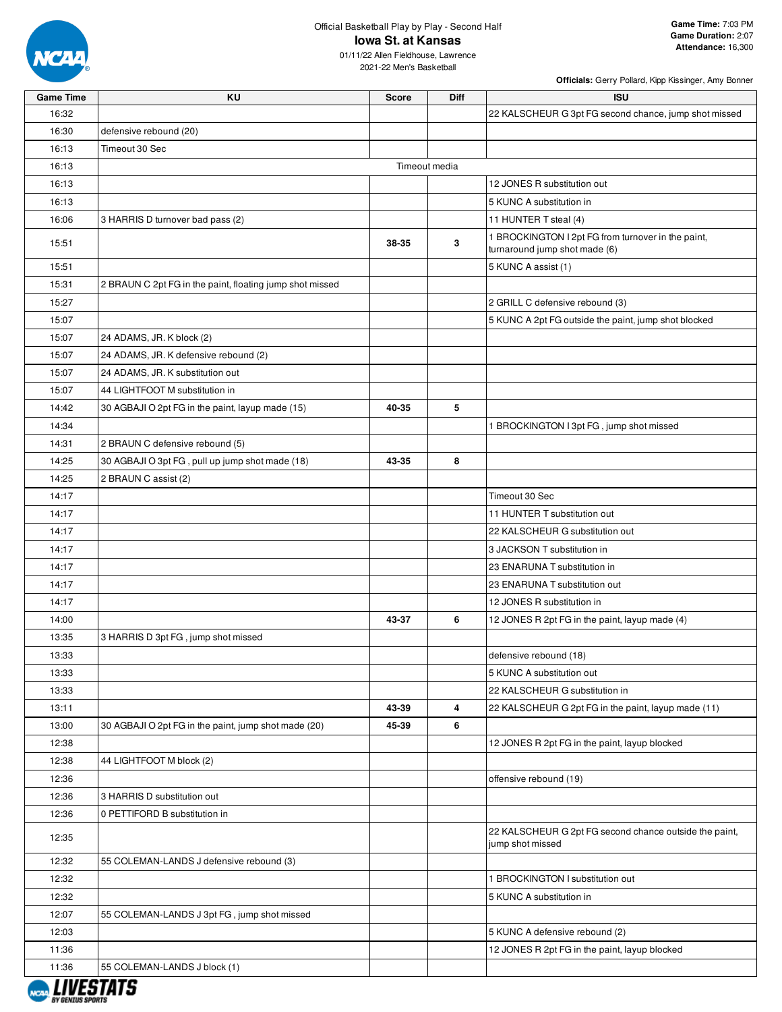

| <b>Game Time</b> | KU                                                       | <b>Score</b>  | Diff | <b>ISU</b>                                                                          |
|------------------|----------------------------------------------------------|---------------|------|-------------------------------------------------------------------------------------|
| 16:32            |                                                          |               |      | 22 KALSCHEUR G 3pt FG second chance, jump shot missed                               |
| 16:30            | defensive rebound (20)                                   |               |      |                                                                                     |
| 16:13            | Timeout 30 Sec                                           |               |      |                                                                                     |
| 16:13            |                                                          | Timeout media |      |                                                                                     |
| 16:13            |                                                          |               |      | 12 JONES R substitution out                                                         |
| 16:13            |                                                          |               |      | 5 KUNC A substitution in                                                            |
| 16:06            | 3 HARRIS D turnover bad pass (2)                         |               |      | 11 HUNTER T steal (4)                                                               |
| 15:51            |                                                          | 38-35         | 3    | 1 BROCKINGTON I 2pt FG from turnover in the paint,<br>turnaround jump shot made (6) |
| 15:51            |                                                          |               |      | 5 KUNC A assist (1)                                                                 |
| 15:31            | 2 BRAUN C 2pt FG in the paint, floating jump shot missed |               |      |                                                                                     |
| 15:27            |                                                          |               |      | 2 GRILL C defensive rebound (3)                                                     |
| 15:07            |                                                          |               |      | 5 KUNC A 2pt FG outside the paint, jump shot blocked                                |
| 15:07            | 24 ADAMS, JR. K block (2)                                |               |      |                                                                                     |
| 15:07            | 24 ADAMS, JR. K defensive rebound (2)                    |               |      |                                                                                     |
| 15:07            | 24 ADAMS, JR. K substitution out                         |               |      |                                                                                     |
| 15:07            | 44 LIGHTFOOT M substitution in                           |               |      |                                                                                     |
| 14:42            | 30 AGBAJI O 2pt FG in the paint, layup made (15)         | 40-35         | 5    |                                                                                     |
| 14:34            |                                                          |               |      | 1 BROCKINGTON I 3pt FG, jump shot missed                                            |
| 14:31            | 2 BRAUN C defensive rebound (5)                          |               |      |                                                                                     |
|                  |                                                          |               |      |                                                                                     |
| 14:25            | 30 AGBAJI O 3pt FG, pull up jump shot made (18)          | 43-35         | 8    |                                                                                     |
| 14:25            | 2 BRAUN C assist (2)                                     |               |      |                                                                                     |
| 14:17            |                                                          |               |      | Timeout 30 Sec                                                                      |
| 14:17            |                                                          |               |      | 11 HUNTER T substitution out                                                        |
| 14:17            |                                                          |               |      | 22 KALSCHEUR G substitution out                                                     |
| 14:17            |                                                          |               |      | 3 JACKSON T substitution in                                                         |
| 14:17            |                                                          |               |      | 23 ENARUNA T substitution in                                                        |
| 14:17            |                                                          |               |      | 23 ENARUNA T substitution out                                                       |
| 14:17            |                                                          |               |      | 12 JONES R substitution in                                                          |
| 14:00            |                                                          | 43-37         | 6    | 12 JONES R 2pt FG in the paint, layup made (4)                                      |
| 13:35            | 3 HARRIS D 3pt FG, jump shot missed                      |               |      |                                                                                     |
| 13:33            |                                                          |               |      | defensive rebound (18)                                                              |
| 13:33            |                                                          |               |      | 5 KUNC A substitution out                                                           |
| 13:33            |                                                          |               |      | 22 KALSCHEUR G substitution in                                                      |
| 13:11            |                                                          | 43-39         | 4    | 22 KALSCHEUR G 2pt FG in the paint, layup made (11)                                 |
| 13:00            | 30 AGBAJI O 2pt FG in the paint, jump shot made (20)     | 45-39         | 6    |                                                                                     |
| 12:38            |                                                          |               |      | 12 JONES R 2pt FG in the paint, layup blocked                                       |
| 12:38            | 44 LIGHTFOOT M block (2)                                 |               |      |                                                                                     |
| 12:36            |                                                          |               |      | offensive rebound (19)                                                              |
| 12:36            | 3 HARRIS D substitution out                              |               |      |                                                                                     |
| 12:36            | 0 PETTIFORD B substitution in                            |               |      |                                                                                     |
| 12:35            |                                                          |               |      | 22 KALSCHEUR G 2pt FG second chance outside the paint,<br>jump shot missed          |
| 12:32            | 55 COLEMAN-LANDS J defensive rebound (3)                 |               |      |                                                                                     |
| 12:32            |                                                          |               |      | 1 BROCKINGTON I substitution out                                                    |
| 12:32            |                                                          |               |      | 5 KUNC A substitution in                                                            |
| 12:07            | 55 COLEMAN-LANDS J 3pt FG, jump shot missed              |               |      |                                                                                     |
| 12:03            |                                                          |               |      | 5 KUNC A defensive rebound (2)                                                      |
| 11:36            |                                                          |               |      | 12 JONES R 2pt FG in the paint, layup blocked                                       |
| 11:36            | 55 COLEMAN-LANDS J block (1)                             |               |      |                                                                                     |
|                  |                                                          |               |      |                                                                                     |

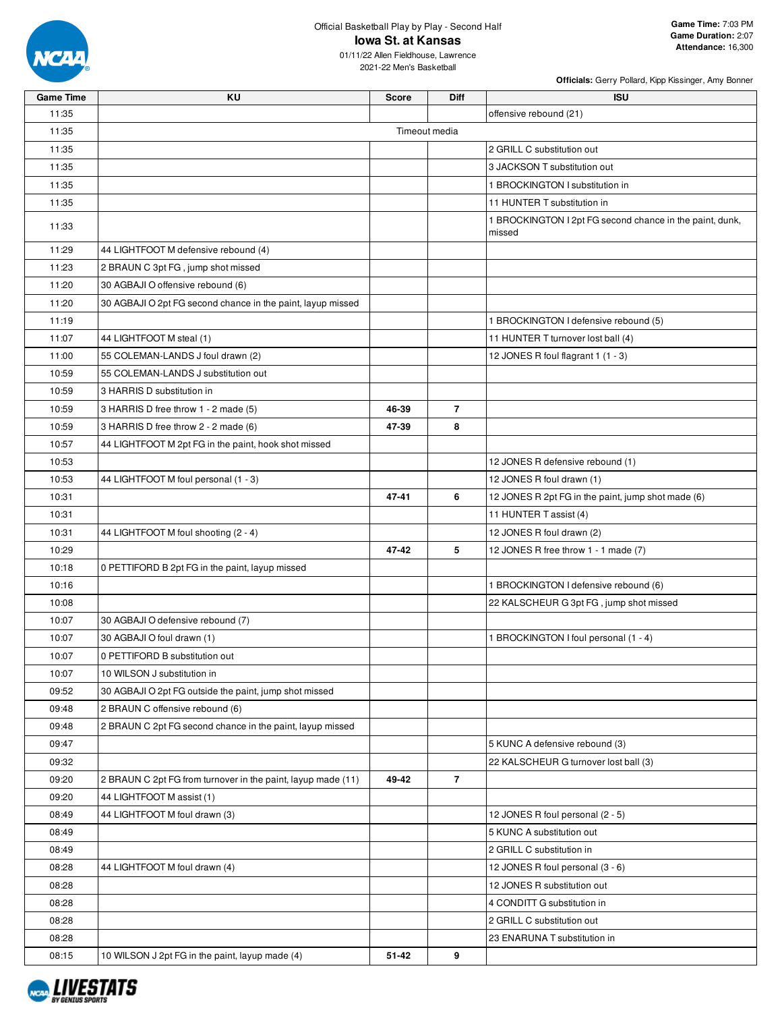

01/11/22 Allen Fieldhouse, Lawrence 2021-22 Men's Basketball

| <b>Game Time</b> | <b>KU</b>                                                    | <b>Score</b>  | <b>Diff</b>             | <b>ISU</b>                                                         |
|------------------|--------------------------------------------------------------|---------------|-------------------------|--------------------------------------------------------------------|
| 11:35            |                                                              |               |                         | offensive rebound (21)                                             |
| 11:35            |                                                              | Timeout media |                         |                                                                    |
| 11:35            |                                                              |               |                         | 2 GRILL C substitution out                                         |
| 11:35            |                                                              |               |                         | 3 JACKSON T substitution out                                       |
| 11:35            |                                                              |               |                         | 1 BROCKINGTON I substitution in                                    |
| 11:35            |                                                              |               |                         | 11 HUNTER T substitution in                                        |
| 11:33            |                                                              |               |                         | 1 BROCKINGTON I 2pt FG second chance in the paint, dunk,<br>missed |
| 11:29            | 44 LIGHTFOOT M defensive rebound (4)                         |               |                         |                                                                    |
| 11:23            | 2 BRAUN C 3pt FG, jump shot missed                           |               |                         |                                                                    |
| 11:20            | 30 AGBAJI O offensive rebound (6)                            |               |                         |                                                                    |
| 11:20            | 30 AGBAJI O 2pt FG second chance in the paint, layup missed  |               |                         |                                                                    |
| 11:19            |                                                              |               |                         | 1 BROCKINGTON I defensive rebound (5)                              |
| 11:07            | 44 LIGHTFOOT M steal (1)                                     |               |                         | 11 HUNTER T turnover lost ball (4)                                 |
| 11:00            | 55 COLEMAN-LANDS J foul drawn (2)                            |               |                         | 12 JONES R foul flagrant 1 (1 - 3)                                 |
| 10:59            | 55 COLEMAN-LANDS J substitution out                          |               |                         |                                                                    |
| 10:59            | 3 HARRIS D substitution in                                   |               |                         |                                                                    |
| 10:59            | 3 HARRIS D free throw 1 - 2 made (5)                         | 46-39         | $\overline{\mathbf{r}}$ |                                                                    |
| 10:59            | 3 HARRIS D free throw 2 - 2 made (6)                         | 47-39         | 8                       |                                                                    |
| 10:57            | 44 LIGHTFOOT M 2pt FG in the paint, hook shot missed         |               |                         |                                                                    |
| 10:53            |                                                              |               |                         | 12 JONES R defensive rebound (1)                                   |
| 10:53            | 44 LIGHTFOOT M foul personal (1 - 3)                         |               |                         | 12 JONES R foul drawn (1)                                          |
| 10:31            |                                                              | 47-41         | 6                       | 12 JONES R 2pt FG in the paint, jump shot made (6)                 |
| 10:31            |                                                              |               |                         | 11 HUNTER T assist (4)                                             |
| 10:31            | 44 LIGHTFOOT M foul shooting (2 - 4)                         |               |                         | 12 JONES R foul drawn (2)                                          |
| 10:29            |                                                              | 47-42         | 5                       | 12 JONES R free throw 1 - 1 made (7)                               |
| 10:18            | 0 PETTIFORD B 2pt FG in the paint, layup missed              |               |                         |                                                                    |
| 10:16            |                                                              |               |                         | 1 BROCKINGTON I defensive rebound (6)                              |
| 10:08            |                                                              |               |                         | 22 KALSCHEUR G 3pt FG, jump shot missed                            |
| 10:07            | 30 AGBAJI O defensive rebound (7)                            |               |                         |                                                                    |
| 10:07            | 30 AGBAJI O foul drawn (1)                                   |               |                         | 1 BROCKINGTON I foul personal (1 - 4)                              |
| 10:07            | 0 PETTIFORD B substitution out                               |               |                         |                                                                    |
| 10:07            | 10 WILSON J substitution in                                  |               |                         |                                                                    |
| 09:52            | 30 AGBAJI O 2pt FG outside the paint, jump shot missed       |               |                         |                                                                    |
| 09:48            | 2 BRAUN C offensive rebound (6)                              |               |                         |                                                                    |
| 09:48            | 2 BRAUN C 2pt FG second chance in the paint, layup missed    |               |                         |                                                                    |
| 09:47            |                                                              |               |                         | 5 KUNC A defensive rebound (3)                                     |
| 09:32            |                                                              |               |                         | 22 KALSCHEUR G turnover lost ball (3)                              |
| 09:20            | 2 BRAUN C 2pt FG from turnover in the paint, layup made (11) | 49-42         | $\overline{7}$          |                                                                    |
| 09:20            | 44 LIGHTFOOT M assist (1)                                    |               |                         |                                                                    |
| 08:49            | 44 LIGHTFOOT M foul drawn (3)                                |               |                         | 12 JONES R foul personal (2 - 5)                                   |
| 08:49            |                                                              |               |                         | 5 KUNC A substitution out                                          |
| 08:49            |                                                              |               |                         | 2 GRILL C substitution in                                          |
| 08:28            | 44 LIGHTFOOT M foul drawn (4)                                |               |                         | 12 JONES R foul personal (3 - 6)                                   |
| 08:28            |                                                              |               |                         | 12 JONES R substitution out                                        |
| 08:28            |                                                              |               |                         | 4 CONDITT G substitution in                                        |
| 08:28            |                                                              |               |                         | 2 GRILL C substitution out                                         |
| 08:28            |                                                              |               |                         | 23 ENARUNA T substitution in                                       |
| 08:15            | 10 WILSON J 2pt FG in the paint, layup made (4)              | $51 - 42$     | 9                       |                                                                    |

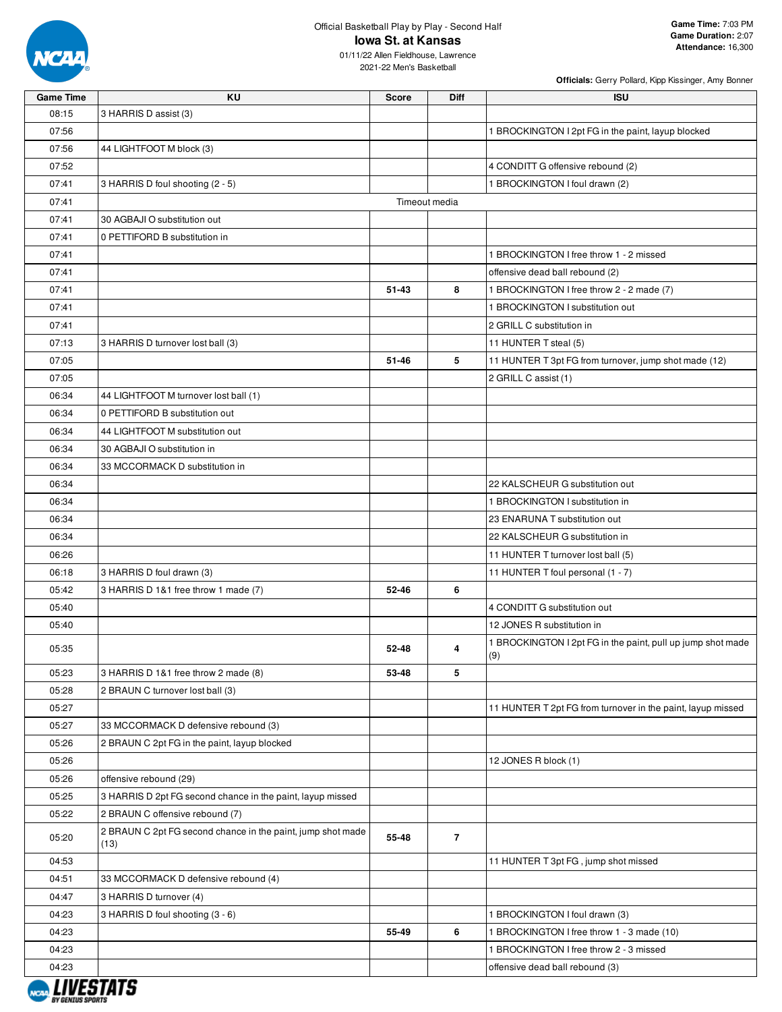

| <b>Game Time</b> | KU                                                          | <b>Score</b>  | Diff           | <b>ISU</b>                                                         |
|------------------|-------------------------------------------------------------|---------------|----------------|--------------------------------------------------------------------|
| 08:15            | 3 HARRIS D assist (3)                                       |               |                |                                                                    |
| 07:56            |                                                             |               |                | 1 BROCKINGTON I 2pt FG in the paint, layup blocked                 |
| 07:56            | 44 LIGHTFOOT M block (3)                                    |               |                |                                                                    |
| 07:52            |                                                             |               |                | 4 CONDITT G offensive rebound (2)                                  |
| 07:41            | 3 HARRIS D foul shooting (2 - 5)                            |               |                | 1 BROCKINGTON I foul drawn (2)                                     |
| 07:41            |                                                             | Timeout media |                |                                                                    |
| 07:41            | 30 AGBAJI O substitution out                                |               |                |                                                                    |
| 07:41            | 0 PETTIFORD B substitution in                               |               |                |                                                                    |
| 07:41            |                                                             |               |                | 1 BROCKINGTON I free throw 1 - 2 missed                            |
| 07:41            |                                                             |               |                | offensive dead ball rebound (2)                                    |
| 07:41            |                                                             | 51-43         | 8              | 1 BROCKINGTON I free throw 2 - 2 made (7)                          |
| 07:41            |                                                             |               |                | 1 BROCKINGTON I substitution out                                   |
| 07:41            |                                                             |               |                | 2 GRILL C substitution in                                          |
| 07:13            | 3 HARRIS D turnover lost ball (3)                           |               |                | 11 HUNTER T steal (5)                                              |
| 07:05            |                                                             | 51-46         | 5              | 11 HUNTER T 3pt FG from turnover, jump shot made (12)              |
| 07:05            |                                                             |               |                | 2 GRILL C assist (1)                                               |
|                  |                                                             |               |                |                                                                    |
| 06:34            | 44 LIGHTFOOT M turnover lost ball (1)                       |               |                |                                                                    |
| 06:34            | 0 PETTIFORD B substitution out                              |               |                |                                                                    |
| 06:34            | 44 LIGHTFOOT M substitution out                             |               |                |                                                                    |
| 06:34            | 30 AGBAJI O substitution in                                 |               |                |                                                                    |
| 06:34            | 33 MCCORMACK D substitution in                              |               |                |                                                                    |
| 06:34            |                                                             |               |                | 22 KALSCHEUR G substitution out                                    |
| 06:34            |                                                             |               |                | 1 BROCKINGTON I substitution in                                    |
| 06:34            |                                                             |               |                | 23 ENARUNA T substitution out                                      |
| 06:34            |                                                             |               |                | 22 KALSCHEUR G substitution in                                     |
| 06:26            |                                                             |               |                | 11 HUNTER T turnover lost ball (5)                                 |
| 06:18            | 3 HARRIS D foul drawn (3)                                   |               |                | 11 HUNTER T foul personal (1 - 7)                                  |
| 05:42            | 3 HARRIS D 1&1 free throw 1 made (7)                        | 52-46         | 6              |                                                                    |
| 05:40            |                                                             |               |                | 4 CONDITT G substitution out                                       |
| 05:40            |                                                             |               |                | 12 JONES R substitution in                                         |
| 05:35            |                                                             | 52-48         | 4              | 1 BROCKINGTON I 2pt FG in the paint, pull up jump shot made<br>(9) |
| 05:23            | 3 HARRIS D 1&1 free throw 2 made (8)                        | 53-48         | 5              |                                                                    |
| 05:28            | 2 BRAUN C turnover lost ball (3)                            |               |                |                                                                    |
| 05:27            |                                                             |               |                | 11 HUNTER T 2pt FG from turnover in the paint, layup missed        |
| 05:27            | 33 MCCORMACK D defensive rebound (3)                        |               |                |                                                                    |
| 05:26            | 2 BRAUN C 2pt FG in the paint, layup blocked                |               |                |                                                                    |
| 05:26            |                                                             |               |                | 12 JONES R block (1)                                               |
| 05:26            | offensive rebound (29)                                      |               |                |                                                                    |
| 05:25            | 3 HARRIS D 2pt FG second chance in the paint, layup missed  |               |                |                                                                    |
| 05:22            | 2 BRAUN C offensive rebound (7)                             |               |                |                                                                    |
|                  | 2 BRAUN C 2pt FG second chance in the paint, jump shot made |               |                |                                                                    |
| 05:20            | (13)                                                        | 55-48         | $\overline{7}$ |                                                                    |
| 04:53            |                                                             |               |                | 11 HUNTER T 3pt FG, jump shot missed                               |
| 04:51            | 33 MCCORMACK D defensive rebound (4)                        |               |                |                                                                    |
| 04:47            | 3 HARRIS D turnover (4)                                     |               |                |                                                                    |
| 04:23            | 3 HARRIS D foul shooting (3 - 6)                            |               |                | 1 BROCKINGTON I foul drawn (3)                                     |
| 04:23            |                                                             | 55-49         | 6              | 1 BROCKINGTON I free throw 1 - 3 made (10)                         |
| 04:23            |                                                             |               |                | 1 BROCKINGTON I free throw 2 - 3 missed                            |
| 04:23            |                                                             |               |                | offensive dead ball rebound (3)                                    |

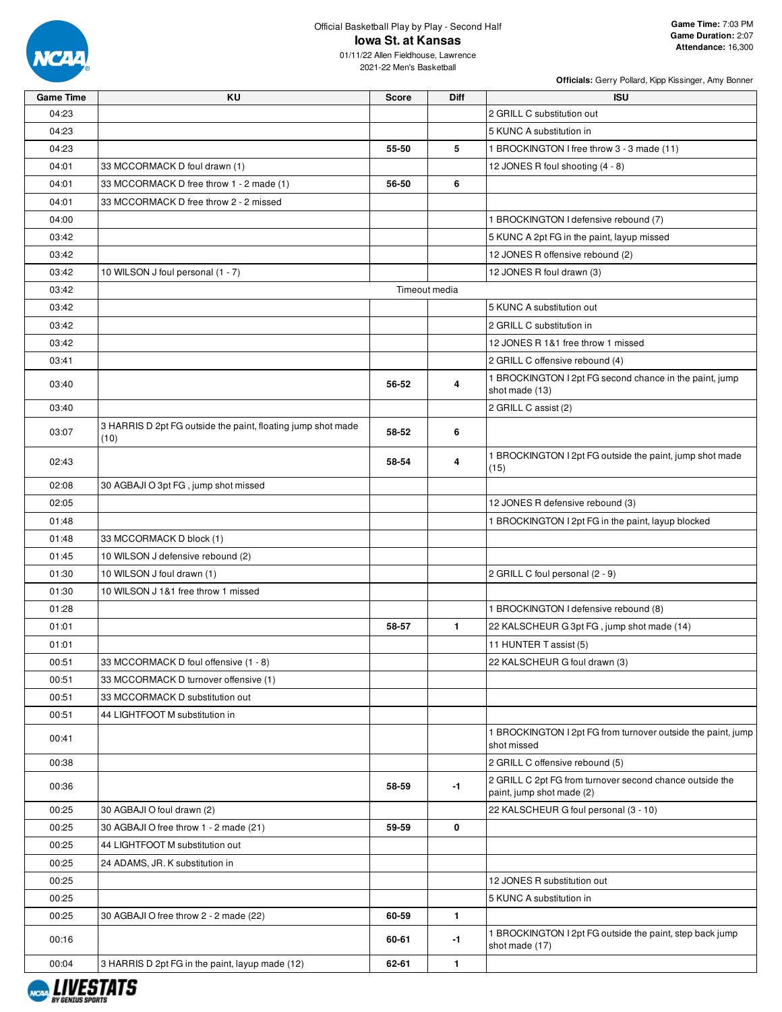

01/11/22 Allen Fieldhouse, Lawrence 2021-22 Men's Basketball

| <b>Game Time</b> | KU                                                                   | <b>Score</b> | <b>Diff</b>   | <b>ISU</b>                                                                            |
|------------------|----------------------------------------------------------------------|--------------|---------------|---------------------------------------------------------------------------------------|
| 04:23            |                                                                      |              |               | 2 GRILL C substitution out                                                            |
| 04:23            |                                                                      |              |               | 5 KUNC A substitution in                                                              |
| 04:23            |                                                                      | 55-50        | 5             | 1 BROCKINGTON I free throw 3 - 3 made (11)                                            |
| 04:01            | 33 MCCORMACK D foul drawn (1)                                        |              |               | 12 JONES R foul shooting (4 - 8)                                                      |
| 04:01            | 33 MCCORMACK D free throw 1 - 2 made (1)                             | 56-50        | 6             |                                                                                       |
| 04:01            | 33 MCCORMACK D free throw 2 - 2 missed                               |              |               |                                                                                       |
| 04:00            |                                                                      |              |               | 1 BROCKINGTON I defensive rebound (7)                                                 |
| 03:42            |                                                                      |              |               | 5 KUNC A 2pt FG in the paint, layup missed                                            |
| 03:42            |                                                                      |              |               | 12 JONES R offensive rebound (2)                                                      |
| 03:42            | 10 WILSON J foul personal (1 - 7)                                    |              |               | 12 JONES R foul drawn (3)                                                             |
| 03:42            |                                                                      |              | Timeout media |                                                                                       |
| 03:42            |                                                                      |              |               | 5 KUNC A substitution out                                                             |
| 03:42            |                                                                      |              |               | 2 GRILL C substitution in                                                             |
| 03:42            |                                                                      |              |               | 12 JONES R 1&1 free throw 1 missed                                                    |
| 03:41            |                                                                      |              |               | 2 GRILL C offensive rebound (4)                                                       |
| 03:40            |                                                                      | 56-52        | 4             | 1 BROCKINGTON I 2pt FG second chance in the paint, jump                               |
|                  |                                                                      |              |               | shot made (13)                                                                        |
| 03:40            |                                                                      |              |               | 2 GRILL C assist (2)                                                                  |
| 03:07            | 3 HARRIS D 2pt FG outside the paint, floating jump shot made<br>(10) | 58-52        | 6             |                                                                                       |
| 02:43            |                                                                      | 58-54        | 4             | 1 BROCKINGTON I 2pt FG outside the paint, jump shot made<br>(15)                      |
| 02:08            | 30 AGBAJI O 3pt FG, jump shot missed                                 |              |               |                                                                                       |
| 02:05            |                                                                      |              |               | 12 JONES R defensive rebound (3)                                                      |
| 01:48            |                                                                      |              |               | 1 BROCKINGTON I 2pt FG in the paint, layup blocked                                    |
| 01:48            | 33 MCCORMACK D block (1)                                             |              |               |                                                                                       |
| 01:45            | 10 WILSON J defensive rebound (2)                                    |              |               |                                                                                       |
| 01:30            | 10 WILSON J foul drawn (1)                                           |              |               | 2 GRILL C foul personal (2 - 9)                                                       |
| 01:30            | 10 WILSON J 1&1 free throw 1 missed                                  |              |               |                                                                                       |
| 01:28            |                                                                      |              |               | 1 BROCKINGTON I defensive rebound (8)                                                 |
| 01:01            |                                                                      | 58-57        | $\mathbf{1}$  | 22 KALSCHEUR G 3pt FG, jump shot made (14)                                            |
| 01:01            |                                                                      |              |               | 11 HUNTER T assist (5)                                                                |
| 00:51            | 33 MCCORMACK D foul offensive (1 - 8)                                |              |               | 22 KALSCHEUR G foul drawn (3)                                                         |
| 00:51            | 33 MCCORMACK D turnover offensive (1)                                |              |               |                                                                                       |
| 00:51            | 33 MCCORMACK D substitution out                                      |              |               |                                                                                       |
| 00:51            | 44 LIGHTFOOT M substitution in                                       |              |               |                                                                                       |
| 00:41            |                                                                      |              |               | 1 BROCKINGTON I 2pt FG from turnover outside the paint, jump<br>shot missed           |
| 00:38            |                                                                      |              |               | 2 GRILL C offensive rebound (5)                                                       |
| 00:36            |                                                                      | 58-59        | $-1$          | 2 GRILL C 2pt FG from turnover second chance outside the<br>paint, jump shot made (2) |
| 00:25            | 30 AGBAJI O foul drawn (2)                                           |              |               | 22 KALSCHEUR G foul personal (3 - 10)                                                 |
| 00:25            | 30 AGBAJI O free throw 1 - 2 made (21)                               | 59-59        | $\mathbf 0$   |                                                                                       |
| 00:25            | 44 LIGHTFOOT M substitution out                                      |              |               |                                                                                       |
| 00:25            | 24 ADAMS, JR. K substitution in                                      |              |               |                                                                                       |
| 00:25            |                                                                      |              |               | 12 JONES R substitution out                                                           |
| 00:25            |                                                                      |              |               | 5 KUNC A substitution in                                                              |
| 00:25            | 30 AGBAJI O free throw 2 - 2 made (22)                               | 60-59        | $\mathbf{1}$  |                                                                                       |
| 00:16            |                                                                      | 60-61        | $-1$          | 1 BROCKINGTON I 2pt FG outside the paint, step back jump<br>shot made (17)            |
| 00:04            | 3 HARRIS D 2pt FG in the paint, layup made (12)                      | 62-61        | $\mathbf{1}$  |                                                                                       |
|                  |                                                                      |              |               |                                                                                       |

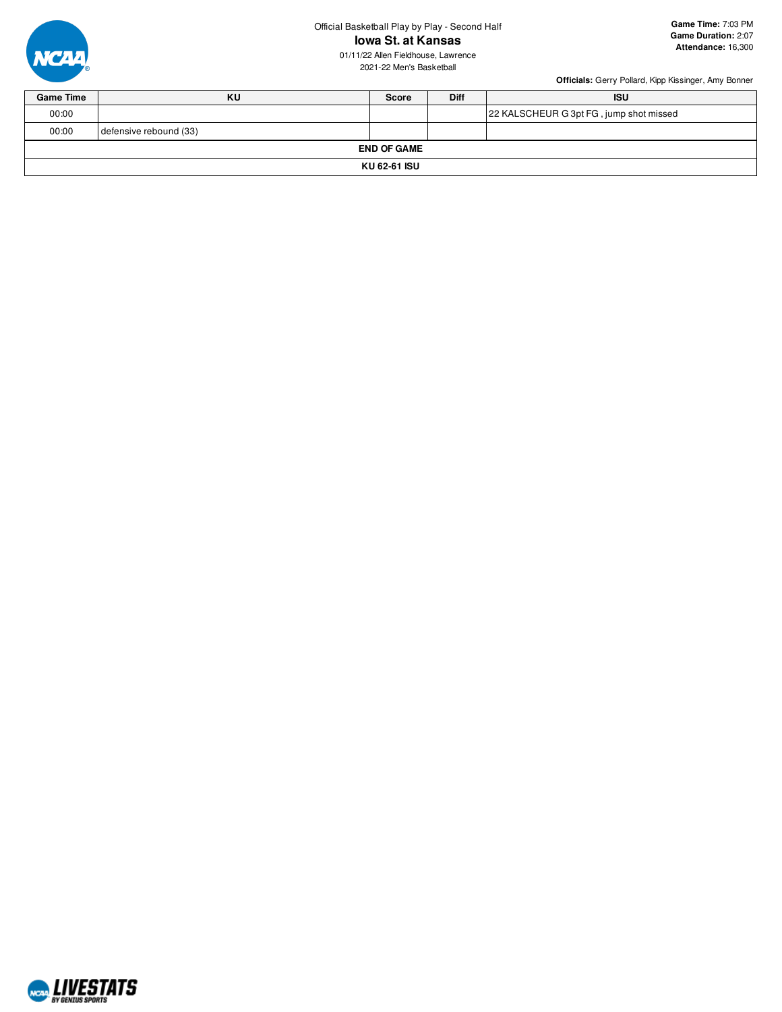

**Game Time:** 7:03 PM **Game Duration:** 2:07 **Attendance:** 16,300

01/11/22 Allen Fieldhouse, Lawrence 2021-22 Men's Basketball

| <b>Game Time</b> | KU                     | <b>Score</b>       | <b>Diff</b> | <b>ISU</b>                              |  |  |  |  |
|------------------|------------------------|--------------------|-------------|-----------------------------------------|--|--|--|--|
| 00:00            |                        |                    |             | 22 KALSCHEUR G 3pt FG, jump shot missed |  |  |  |  |
| 00:00            | defensive rebound (33) |                    |             |                                         |  |  |  |  |
|                  |                        | <b>END OF GAME</b> |             |                                         |  |  |  |  |
| KU 62-61 ISU     |                        |                    |             |                                         |  |  |  |  |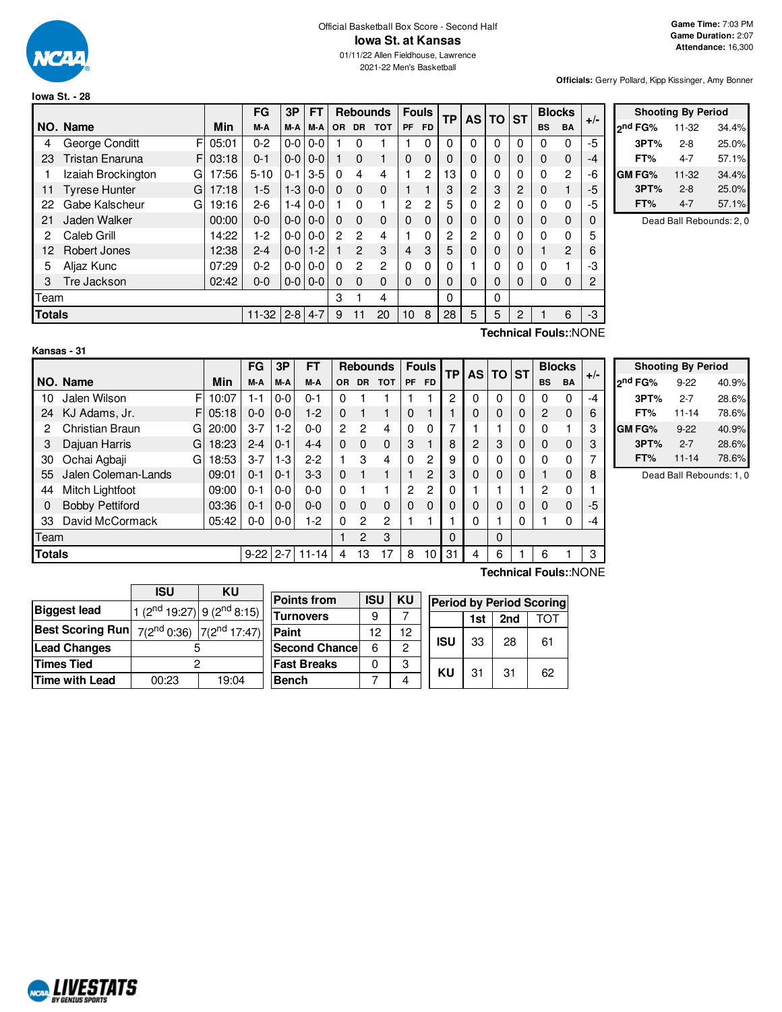

## Official Basketball Box Score - Second Half **Iowa St. at Kansas**

01/11/22 Allen Fieldhouse, Lawrence 2021-22 Men's Basketball

**Officials:** Gerry Pollard, Kipp Kissinger, Amy Bonner

|               |                              |       | FG        | 3Р      | <b>FT</b> |          | <b>Rebounds</b> |            | <b>Fouls</b> |           | ТP | <b>AS</b>      | <b>TO</b> | <b>ST</b> |           | <b>Blocks</b>                                  | $+/-$ |
|---------------|------------------------------|-------|-----------|---------|-----------|----------|-----------------|------------|--------------|-----------|----|----------------|-----------|-----------|-----------|------------------------------------------------|-------|
|               | NO. Name                     | Min   | M-A       | M-A     | M-A       | OR.      | <b>DR</b>       | <b>TOT</b> | <b>PF</b>    | <b>FD</b> |    |                |           |           | <b>BS</b> | <b>BA</b>                                      |       |
| 4             | FI<br>George Conditt         | 05:01 | $0 - 2$   | $0 - 0$ | $0 - 0$   |          | 0               |            |              | 0         | 0  | 0              | 0         | 0         | 0         | $\Omega$                                       | $-5$  |
| 23            | <b>Tristan Enaruna</b><br>F. | 03:18 | $0 - 1$   | $0 - 0$ | $0 - 0$   |          | $\Omega$        |            | 0            | 0         | 0  | 0              | 0         | 0         | 0         | $\Omega$                                       | -4    |
|               | Izaiah Brockington<br>G      | 17:56 | $5 - 10$  | $0 - 1$ | $3-5$     | $\Omega$ | 4               | 4          |              | 2         | 13 | 0              | 0         | 0         | 0         | $\overline{c}$                                 | -6    |
| 11            | <b>Tyrese Hunter</b><br>G    | 17:18 | $1-5$     | $1 - 3$ | $0 - 0$   | $\Omega$ | $\Omega$        | $\Omega$   |              |           | 3  | $\overline{2}$ | 3         | 2         | 0         |                                                | -5    |
| 22            | Gabe Kalscheur<br>G          | 19:16 | $2 - 6$   | 1-4     | $0-0$     |          | $\Omega$        |            | 2            | 2         | 5  | 0              | 2         | 0         | 0         | $\Omega$                                       | -5    |
| 21            | Jaden Walker                 | 00:00 | $0 - 0$   | $0 - 0$ | $0 - 0$   | $\Omega$ | $\Omega$        | $\Omega$   | 0            | 0         | 0  | 0              | 0         | 0         | 0         | $\Omega$                                       | 0     |
| 2             | Caleb Grill                  | 14:22 | 1-2       | $0-0$   | $0-0$     | 2        | 2               | 4          |              | 0         | 2  | 2              | 0         | 0         | 0         | $\Omega$                                       | 5     |
| 12            | Robert Jones                 | 12:38 | $2 - 4$   | $0 - 0$ | $1 - 2$   |          | $\mathcal{P}$   | 3          | 4            | 3         | 5  | 0              | 0         | 0         |           | 2                                              | 6     |
| 5             | Aljaz Kunc                   | 07:29 | $0 - 2$   | $0-0$   | $0-0$     | $\Omega$ | $\overline{2}$  | 2          | $\Omega$     | 0         | 0  |                | 0         | 0         | 0         |                                                | -3    |
| 3             | Tre Jackson                  | 02:42 | $0 - 0$   | $0-0$   | $0 - 0$   | $\Omega$ | $\Omega$        | 0          | 0            | 0         | 0  | 0              | 0         | 0         | 0         | $\Omega$                                       | 2     |
| Team          |                              |       |           |         |           | 3        |                 | 4          |              |           | 0  |                | 0         |           |           |                                                |       |
| <b>Totals</b> |                              |       | $11 - 32$ | $2 - 8$ | $4 - 7$   | 9        | 11              | 20         | 10           | 8         | 28 | 5              | 5         | 2         |           | 6                                              | -3    |
|               |                              |       |           |         |           |          |                 |            |              |           |    |                |           |           |           | $T$ aahniaal $T$ aulau $N$ $\cap$ $N$ $\Gamma$ |       |

| <b>Shooting By Period</b> |         |       |  |  |  |  |  |  |  |
|---------------------------|---------|-------|--|--|--|--|--|--|--|
| ond FG%                   | 11-32   | 34.4% |  |  |  |  |  |  |  |
| 3PT%                      | $2 - 8$ | 25.0% |  |  |  |  |  |  |  |
| FT%                       | 4-7     | 57.1% |  |  |  |  |  |  |  |
| <b>GM FG%</b>             | 11-32   | 34.4% |  |  |  |  |  |  |  |
| 3PT%                      | $2 - 8$ | 25.0% |  |  |  |  |  |  |  |
| FT%                       | $4 - 7$ | 57.1% |  |  |  |  |  |  |  |

Dead Ball Rebounds: 2, 0

| Kansas |
|--------|
|--------|

**Technical Fouls:**:NONE

|      |                        |       | FG       | 3P      | FT        |                |           | <b>Rebounds</b> |                | <b>Fouls</b>   | <b>TP</b> |   | AS TO ST |          |                          | <b>Blocks</b> | $+/-$ |
|------|------------------------|-------|----------|---------|-----------|----------------|-----------|-----------------|----------------|----------------|-----------|---|----------|----------|--------------------------|---------------|-------|
|      | NO. Name               | Min   | M-A      | M-A     | M-A       | 0R             | <b>DR</b> | <b>TOT</b>      | PF             | <b>FD</b>      |           |   |          |          | <b>BS</b>                | <b>BA</b>     |       |
| 10   | Jalen Wilson<br>F      | 10:07 | 1 - 1    | $0-0$   | $0 - 1$   | 0              |           |                 |                |                | 2         | 0 | 0        | 0        |                          | 0             | -4    |
| 24   | KJ Adams, Jr.<br>F     | 05:18 | $0-0$    | $0-0$   | $1-2$     | $\mathbf 0$    |           |                 | $\Omega$       |                |           | 0 | 0        | 0        | 2                        | $\mathbf 0$   | 6     |
| 2    | Christian Braun<br>G   | 20:00 | $3 - 7$  | $1-2$   | $0 - 0$   | $\overline{2}$ | 2         | 4               | $\Omega$       | $\Omega$       |           |   |          |          |                          |               | 3     |
| 3    | Dajuan Harris<br>G     | 18:23 | $2 - 4$  | $0 - 1$ | $4 - 4$   | $\Omega$       | 0         | 0               | 3              |                | 8         | 2 | 3        | $\Omega$ | $\Omega$                 | 0             | 3     |
| 30   | Ochai Agbaji<br>G      | 18:53 | $3 - 7$  | $1-3$   | $2 - 2$   |                | 3         | 4               | $\Omega$       | $\overline{c}$ | 9         | 0 |          | $\Omega$ |                          | 0             |       |
| 55   | Jalen Coleman-Lands    | 09:01 | 0-1      | $0 - 1$ | $3-3$     | $\Omega$       |           |                 |                | 2              | 3         | 0 | 0        | 0        |                          | 0             | 8     |
| 44   | Mitch Lightfoot        | 09:00 | 0-1      | $0-0$   | $0 - 0$   | $\Omega$       |           |                 | $\overline{c}$ | $\overline{c}$ | 0         |   |          |          | 2                        | 0             |       |
| 0    | <b>Bobby Pettiford</b> | 03:36 | $0 - 1$  | $0-0$   | $0 - 0$   | $\Omega$       | 0         | $\mathbf 0$     | $\Omega$       | $\Omega$       | 0         |   | 0        | $\Omega$ | 0                        | $\mathbf 0$   | -5    |
| 33   | David McCormack        | 05:42 | $0-0$    | $0-0$   | $1-2$     | $\Omega$       | 2         | 2               |                |                |           |   |          |          |                          | $\Omega$      | -4    |
| Team |                        |       |          |         |           |                | 2         | 3               |                |                | 0         |   | 0        |          |                          |               |       |
|      | <b>Totals</b>          |       | $9 - 22$ | $2 - 7$ | $11 - 14$ | 4              | 13        | 17              | 8              | 10             | 31        | 4 | 6        |          | 6                        |               | 3     |
|      |                        |       |          |         |           |                |           |                 |                |                |           |   |          |          | $\overline{\phantom{a}}$ |               |       |

|                     | <b>Shooting By Period</b> |       |
|---------------------|---------------------------|-------|
| 2 <sup>nd</sup> FG% | $9 - 22$                  | 40.9% |
| 3PT%                | $2 - 7$                   | 28.6% |
| FT%                 | $11 - 14$                 | 78.6% |
| <b>GM FG%</b>       | $9 - 22$                  | 40.9% |
| 3PT%                | $2 - 7$                   | 28.6% |
| FT%                 | $11 - 14$                 | 78.6% |

Dead Ball Rebounds: 1, 0

|                         | <b>ISU</b>                           | ΚU    |  |  |  |  |  |  |
|-------------------------|--------------------------------------|-------|--|--|--|--|--|--|
| <b>Biggest lead</b>     | 1 $(2^{nd} 19:27)$ 9 $(2^{nd} 8:15)$ |       |  |  |  |  |  |  |
| <b>Best Scoring Run</b> | $7(2^{nd} 0:36)$ $7(2^{nd} 17:47)$   |       |  |  |  |  |  |  |
| <b>Lead Changes</b>     |                                      |       |  |  |  |  |  |  |
| <b>Times Tied</b>       |                                      |       |  |  |  |  |  |  |
| Time with Lead          | 00:23                                | 19:04 |  |  |  |  |  |  |

| <b>Points from</b>    | <b>ISU</b> | ΚU | <b>Period by Period Scoring</b> |                        |  |    |  |  |  |  |  |  |  |  |
|-----------------------|------------|----|---------------------------------|------------------------|--|----|--|--|--|--|--|--|--|--|
| <b>Turnovers</b>      | 9          |    |                                 | 2nd<br>1st             |  |    |  |  |  |  |  |  |  |  |
| Paint                 | 12         | 12 |                                 |                        |  | 61 |  |  |  |  |  |  |  |  |
| <b>Second Chancel</b> | 6          | 2  |                                 | <b>ISU</b><br>33<br>28 |  |    |  |  |  |  |  |  |  |  |
| <b>Fast Breaks</b>    | ი          | 3  |                                 |                        |  |    |  |  |  |  |  |  |  |  |
| <b>Bench</b>          |            |    | ΚU<br>31<br>31<br>62            |                        |  |    |  |  |  |  |  |  |  |  |

**Technical Fouls:**:NONE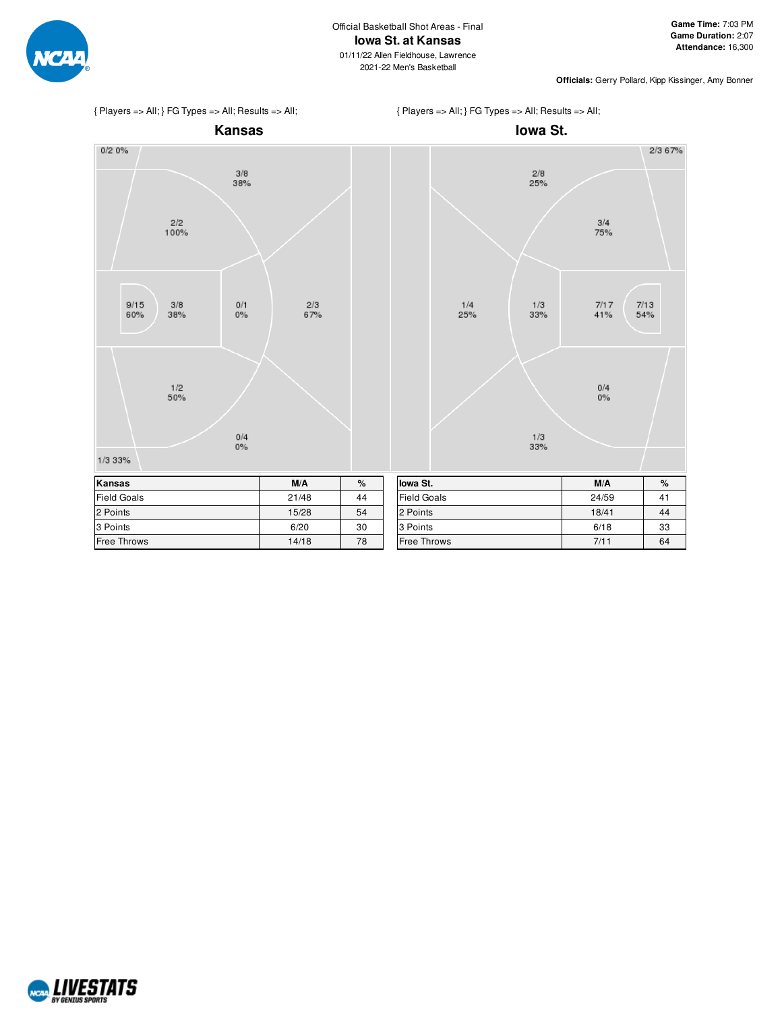

 $0/20%$ 

**Officials:** Gerry Pollard, Kipp Kissinger, Amy Bonner

2/3 67%

 $7/13$ <br> $54%$ 



**Kansas**





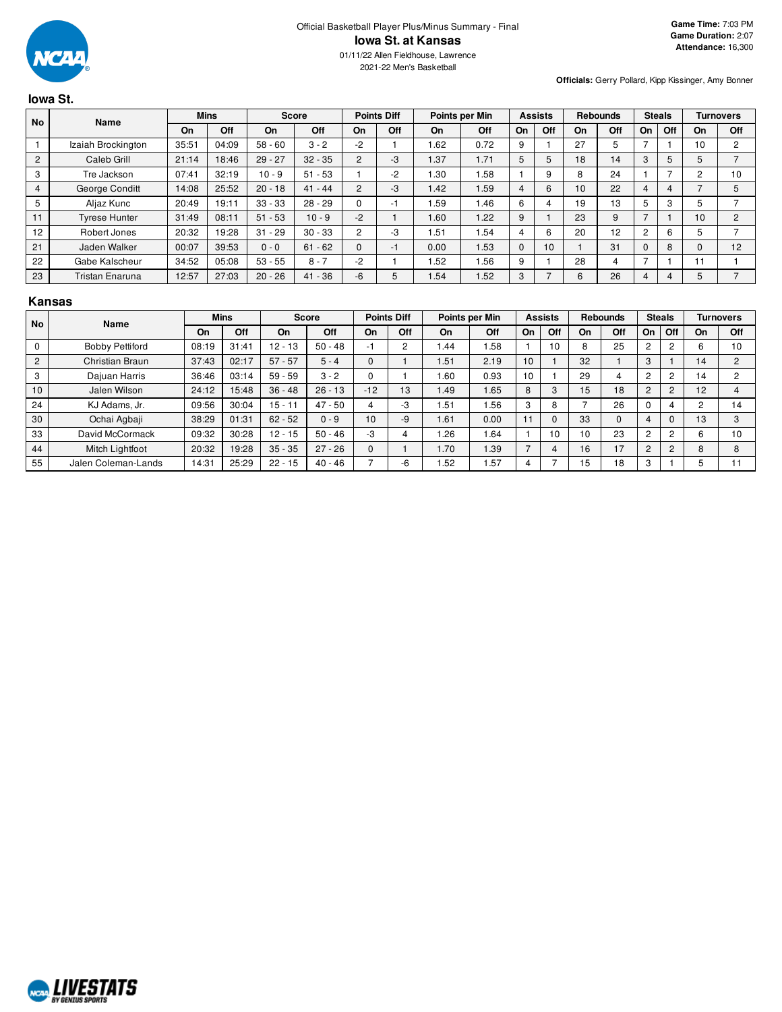

2021-22 Men's Basketball

**Officials:** Gerry Pollard, Kipp Kissinger, Amy Bonner

#### **Iowa St. No Name Mins Score Points Diff Points per Min Assists Rebounds Steals Turnovers On Off On Off On Off On Off On Off On Off On Off On Off** 1 | Izaiah Brockington | 35:51 | 04:09 | 58 - 60 | 3 - 2 | -2 | 1 | 1.62 | 0.72 | 9 | 1 | 27 | 5 | 7 | 1 | 10 | 2 2 | Caleb Grill | 21:14 | 18:46 | 29 - 27 | 32 - 35 | 2 | -3 | 1.37 | 1.71 | 5 | 5 | 18 | 14 | 3 | 5 | 5 | 7 3 | Tre Jackson | 07:41 | 32:19 | 10 - 9 | 51 - 53 | 1 | -2 | 1.30 | 1.58 | 1 | 9 | 8 | 24 | 1 | 7 | 2 | 10 4 | George Conditt | 14:08 | 25:52 | 20 - 18 | 41 - 44 | 2 | -3 | 1.42 | 1.59 | 4 | 6 | 10 | 22 | 4 | 4 | 7 | 5 5 | Aljaz Kunc | 20:49 | 19:11 | 33 - 33 | 28 - 29 | 0 | -1 | 1.59 | 1.46 | 6 | 4 | 19 | 13 | 5 | 3 | 5 | 7 11 | Tyrese Hunter | 31:49 | 08:11 | 51 - 53 | 10 - 9 | -2 | 1 | 1.60 | 1.22 | 9 | 1 | 23 | 9 | 7 | 1 | 10 | 2 12 | Robert Jones | 20:32 | 19:28 | 31 - 29 | 30 - 33 | 2 | -3 | 1.51 | 1.54 | 4 | 6 | 20 | 12 | 2 | 6 | 5 | 7 21 | Jaden Walker | 00:07 | 39:53 | 0 - 0 | 61 - 62 | 0 | -1 | 0.00 | 1.53 | 0 | 10 | 1 | 31 | 0 | 8 | 0 | 12 | 22 | Gabe Kalscheur | 34:52 | 05:08 | 53 - 55 | 8 - 7 | -2 | 1 | 1.52 | 1.56 | 9 | 1 | 28 | 4 | 7 | 1 | 11 | 1 23 | Tristan Enaruna | 12:57 | 27:03 | 20 - 26 | 41 - 36 | -6 | 5 | 1.54 | 1.52 | 3 | 7 | 6 | 26 | 4 | 4 | 5 | 7

#### **Kansas**

| <b>No</b>      | Name                   |       | <b>Mins</b> |           | <b>Score</b> |          | <b>Points Diff</b> |      | Points per Min    |    | <b>Assists</b> |               | <b>Rebounds</b> |                | <b>Steals</b>  |             | <b>Turnovers</b> |
|----------------|------------------------|-------|-------------|-----------|--------------|----------|--------------------|------|-------------------|----|----------------|---------------|-----------------|----------------|----------------|-------------|------------------|
|                |                        | On    | Off         | On        | Off          | On       | Off                | On   | Off               | On | Off            | On            | Off             | On             | Off            | On          | Off              |
| 0              | <b>Bobby Pettiford</b> | 08:19 | 31:41       | $12 - 13$ | $50 - 48$    | - 1      |                    | 1.44 | .58               |    | 10             | $\Omega$<br>ŏ | 25              | ◠              | $\overline{2}$ | $\sim$<br>6 | 10               |
| $\overline{2}$ | Christian Braun        | 37:43 | 02:17       | $57 - 57$ | $5 - 4$      | $\Omega$ |                    | 1.51 | 2.19              | 10 |                | 32            |                 | 3              |                | 14          | $\mathcal{P}$    |
| 3              | Dajuan Harris          | 36:46 | 03:14       | $59 - 59$ | $3 - 2$      | $\Omega$ |                    | 1.60 | 0.93              | 10 |                | 29            | 4               | C              | $\overline{2}$ | 14          | $\sim$           |
| 10             | Jalen Wilson           | 24:12 | 15:48       | $36 - 48$ | $26 - 13$    | $-12$    | 13                 | 1.49 | 1.65              | 8  | 3              | 15            | 18              | $\overline{2}$ | $\overline{2}$ | 12          |                  |
| 24             | KJ Adams, Jr.          | 09:56 | 30:04       | $15 - 11$ | $47 - 50$    |          | -3                 | .51  | . 56              | 3  | 8              |               | 26              |                |                |             | 14               |
| 30             | Ochai Agbaji           | 38:29 | 01:31       | $62 - 52$ | $0 - 9$      | 10       | -9                 | 1.61 | 0.00              | 11 | $\Omega$       | 33            | $\Omega$        | 4              | $\Omega$       | 13          | 3                |
| 33             | David McCormack        | 09:32 | 30:28       | $12 - 15$ | $50 - 46$    | -3       |                    | .26  | 1.64              |    | 10             | 10            | 23              | 2              | $\overline{2}$ | 6           | 10               |
| 44             | Mitch Lightfoot        | 20:32 | 19:28       | $35 - 35$ | $27 - 26$    | $\Omega$ |                    | 1.70 | 1.39 <sub>1</sub> |    | 4              | 16            | 17              | ◠              | $\overline{2}$ | 8           | 8                |
| 55             | Jalen Coleman-Lands    | 14:31 | 25:29       | $22 - 15$ | $40 - 46$    |          | -6                 | .52  | .57               |    |                | 15            | 18              | 3              |                | с           |                  |

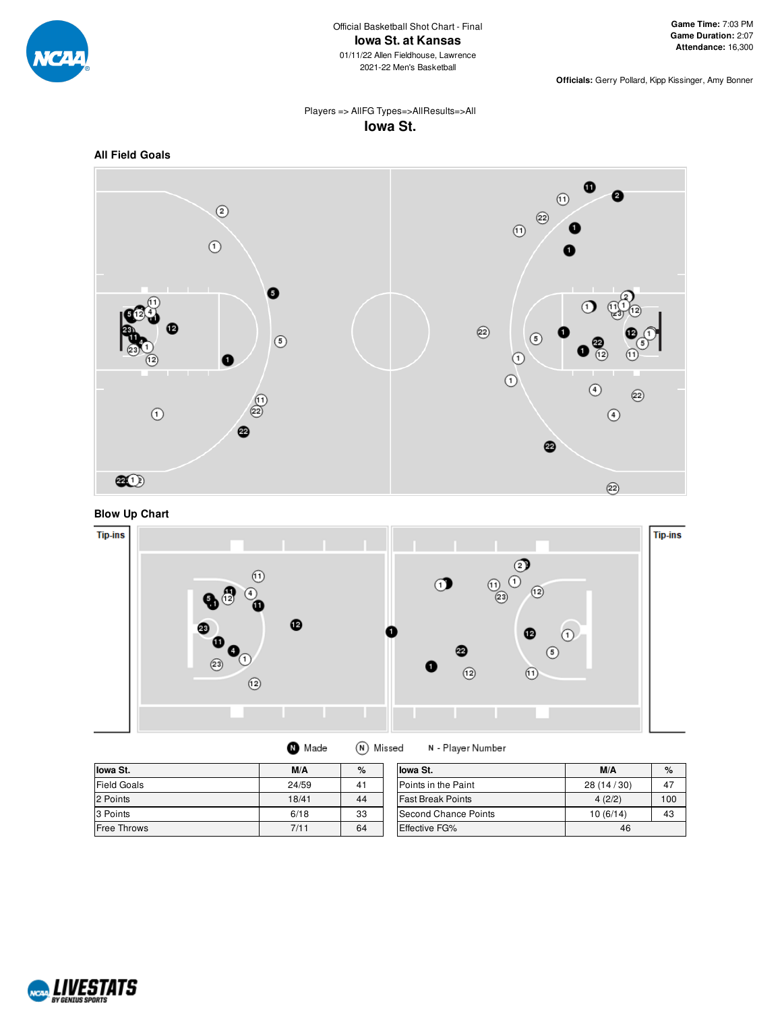

**Officials:** Gerry Pollard, Kipp Kissinger, Amy Bonner

## Players => AllFG Types=>AllResults=>All **Iowa St.**









| lowa St.           | M/A   | $\%$ | llowa St.                | M/A          | $\%$ |
|--------------------|-------|------|--------------------------|--------------|------|
| <b>Field Goals</b> | 24/59 | 41   | Points in the Paint      | 28 (14 / 30) | 47   |
| 2 Points           | 18/41 | 44   | <b>Fast Break Points</b> | 4(2/2)       | 100  |
| 3 Points           | 6/18  | 33   | Second Chance Points     | 10(6/14)     | 43   |
| <b>Free Throws</b> | 7/11  | 64   | Effective FG%            | 46           |      |

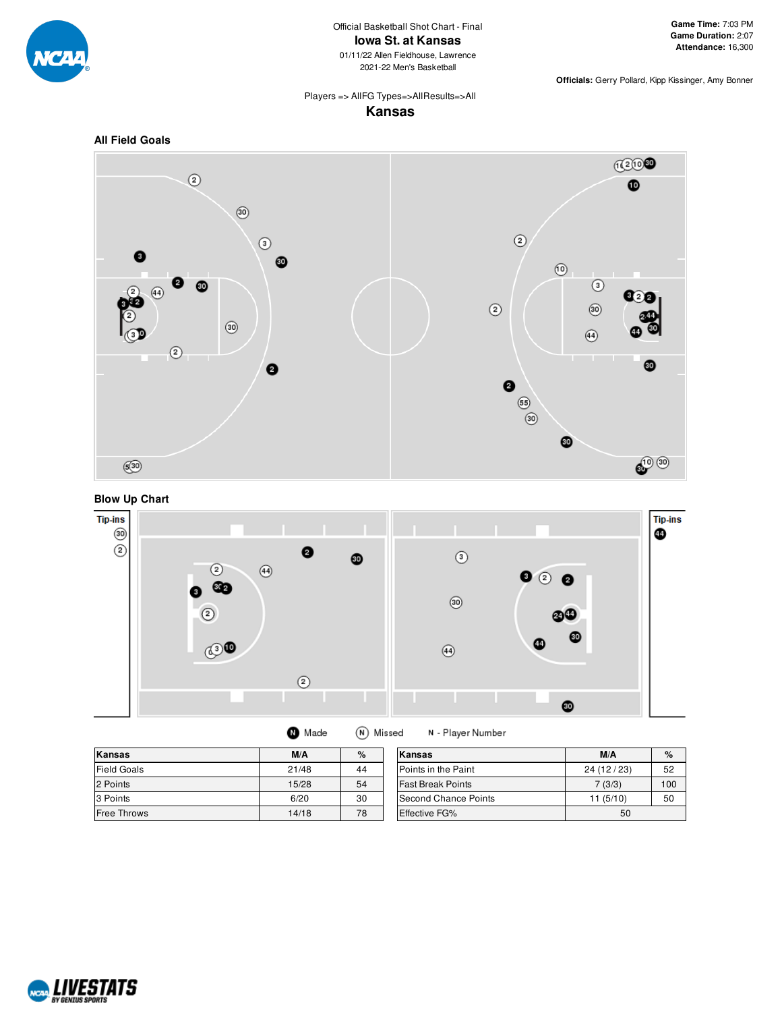

01/11/22 Allen Fieldhouse, Lawrence 2021-22 Men's Basketball

**Officials:** Gerry Pollard, Kipp Kissinger, Amy Bonner

#### Players => AllFG Types=>AllResults=>All **Kansas**









| Made | (N) Missed |
|------|------------|
|------|------------|

 $\bf \Phi$ 

N - Player Number

| Kansas             | M/A   | %  | Kansas                   | M/A       | $\%$ |
|--------------------|-------|----|--------------------------|-----------|------|
| <b>Field Goals</b> | 21/48 | 44 | Points in the Paint      | 24(12/23) | 52   |
| 2 Points           | 15/28 | 54 | <b>Fast Break Points</b> | 7(3/3)    | 100  |
| 3 Points           | 6/20  | 30 | Second Chance Points     | 11(5/10)  | 50   |
| <b>Free Throws</b> | 14/18 | 78 | Effective FG%            | 50        |      |

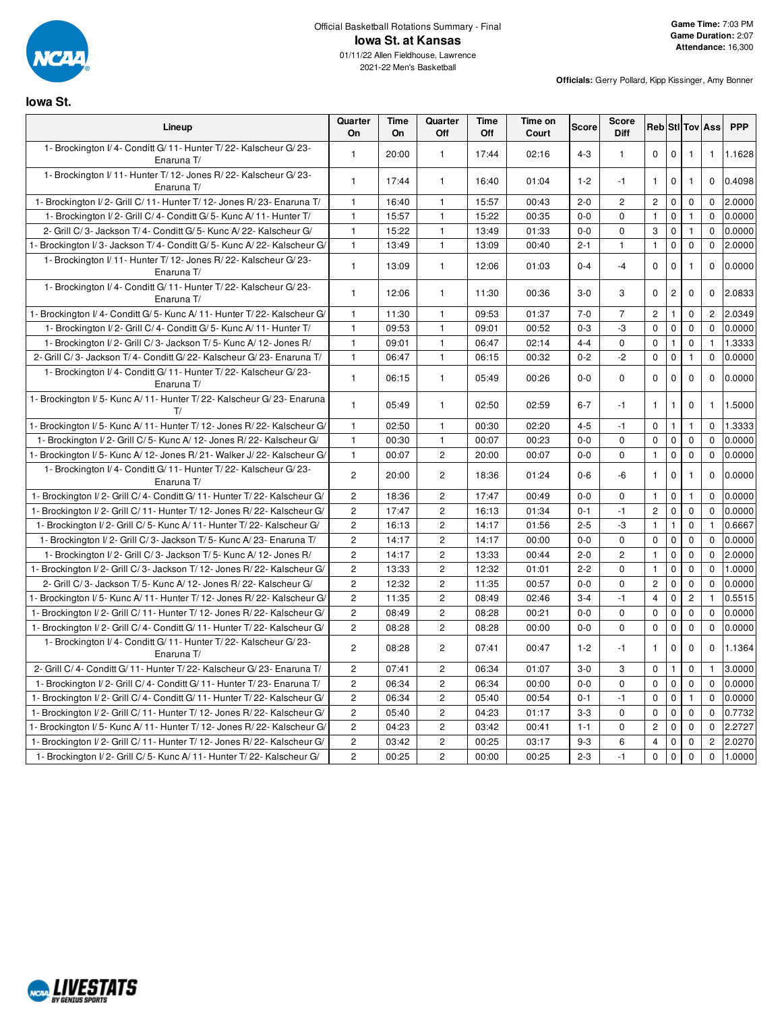

**Officials:** Gerry Pollard, Kipp Kissinger, Amy Bonner

**Iowa St.**

| Lineup                                                                           | Quarter<br>On  | <b>Time</b><br>On | Quarter<br>Off | Time<br>Off | Time on<br>Court | <b>Score</b> | <b>Score</b><br>Diff |                |              |                | <b>Reb</b> Sti Tov Ass | <b>PPP</b> |
|----------------------------------------------------------------------------------|----------------|-------------------|----------------|-------------|------------------|--------------|----------------------|----------------|--------------|----------------|------------------------|------------|
| 1- Brockington I/ 4- Conditt G/ 11- Hunter T/ 22- Kalscheur G/ 23-<br>Enaruna T/ | $\mathbf{1}$   | 20:00             | $\mathbf{1}$   | 17:44       | 02:16            | $4 - 3$      | $\mathbf{1}$         | $\mathbf 0$    | $\mathbf 0$  | $\mathbf{1}$   | $\mathbf{1}$           | 1.1628     |
| 1- Brockington I/ 11- Hunter T/ 12- Jones R/ 22- Kalscheur G/ 23-<br>Enaruna T/  | $\mathbf{1}$   | 17:44             | $\mathbf{1}$   | 16:40       | 01:04            | $1 - 2$      | $-1$                 | $\mathbf{1}$   | $\mathbf 0$  | $\mathbf{1}$   | $\mathbf{0}$           | 0.4098     |
| 1- Brockington I/2- Grill C/11- Hunter T/12- Jones R/23- Enaruna T/              | $\mathbf{1}$   | 16:40             | $\mathbf{1}$   | 15:57       | 00:43            | $2 - 0$      | $\overline{c}$       | $\overline{c}$ | $\mathbf 0$  | $\mathbf 0$    | $\mathbf 0$            | 2.0000     |
| 1- Brockington I/2- Grill C/4- Conditt G/5- Kunc A/11- Hunter T/                 | $\mathbf{1}$   | 15:57             | $\mathbf{1}$   | 15:22       | 00:35            | $0 - 0$      | 0                    | $\mathbf{1}$   | $\mathbf 0$  | 1              | $\mathbf 0$            | 0.0000     |
| 2- Grill C/3- Jackson T/4- Conditt G/5- Kunc A/22- Kalscheur G/                  | $\mathbf{1}$   | 15:22             | $\mathbf{1}$   | 13:49       | 01:33            | $0 - 0$      | $\mathbf 0$          | 3              | $\mathbf 0$  | $\mathbf{1}$   | $\Omega$               | 0.0000     |
| 1- Brockington I/ 3- Jackson T/ 4- Conditt G/ 5- Kunc A/ 22- Kalscheur G/        | $\mathbf{1}$   | 13:49             | $\mathbf{1}$   | 13:09       | 00:40            | $2 - 1$      | $\mathbf{1}$         | $\mathbf{1}$   | $\mathbf 0$  | $\mathbf 0$    | $\mathbf 0$            | 2.0000     |
| 1- Brockington I/ 11- Hunter T/ 12- Jones R/ 22- Kalscheur G/ 23-<br>Enaruna T/  | $\mathbf{1}$   | 13:09             | $\mathbf{1}$   | 12:06       | 01:03            | $0 - 4$      | $-4$                 | $\mathbf 0$    | $\mathbf 0$  | $\mathbf{1}$   | $\mathbf 0$            | 0.0000     |
| 1- Brockington I/4- Conditt G/11- Hunter T/22- Kalscheur G/23-<br>Enaruna T/     | $\mathbf{1}$   | 12:06             | $\mathbf{1}$   | 11:30       | 00:36            | $3-0$        | 3                    | $\mathbf 0$    | $\mathbf{2}$ | $\mathbf 0$    | $\mathbf 0$            | 2.0833     |
| 1- Brockington I/4- Conditt G/5- Kunc A/11- Hunter T/22- Kalscheur G/            | $\mathbf{1}$   | 11:30             | $\mathbf{1}$   | 09:53       | 01:37            | $7 - 0$      | $\overline{7}$       | $\overline{2}$ | $\mathbf{1}$ | 0              | $\overline{2}$         | 2.0349     |
| 1- Brockington I/2- Grill C/4- Conditt G/5- Kunc A/11- Hunter T/                 | $\mathbf{1}$   | 09:53             | $\mathbf{1}$   | 09:01       | 00:52            | $0 - 3$      | -3                   | $\mathbf 0$    | $\mathbf 0$  | 0              | $\mathbf 0$            | 0.0000     |
| 1- Brockington I/2- Grill C/3- Jackson T/5- Kunc A/12- Jones R/                  | $\mathbf{1}$   | 09:01             | $\mathbf{1}$   | 06:47       | 02:14            | $4 - 4$      | $\Omega$             | 0              | $\mathbf{1}$ | 0              | $\mathbf{1}$           | 1.3333     |
| 2- Grill C/3- Jackson T/4- Conditt G/22- Kalscheur G/23- Enaruna T/              | $\mathbf{1}$   | 06:47             | $\mathbf{1}$   | 06:15       | 00:32            | $0 - 2$      | $-2$                 | $\mathbf 0$    | $\mathbf 0$  | $\mathbf{1}$   | $\mathbf 0$            | 0.0000     |
| 1- Brockington I/4- Conditt G/11- Hunter T/22- Kalscheur G/23-<br>Enaruna T/     | $\mathbf{1}$   | 06:15             | $\mathbf{1}$   | 05:49       | 00:26            | $0-0$        | $\Omega$             | $\mathbf 0$    | $\mathbf{0}$ | $\mathbf 0$    | $\mathbf 0$            | 0.0000     |
| 1- Brockington I/5- Kunc A/11- Hunter T/22- Kalscheur G/23- Enaruna<br>T/        | $\mathbf{1}$   | 05:49             | $\mathbf{1}$   | 02:50       | 02:59            | $6 - 7$      | $-1$                 | $\mathbf{1}$   | $\mathbf{1}$ | $\mathbf 0$    | $\mathbf{1}$           | 1.5000     |
| 1- Brockington I/5- Kunc A/11- Hunter T/12- Jones R/22- Kalscheur G/             | $\mathbf{1}$   | 02:50             | $\mathbf{1}$   | 00:30       | 02:20            | $4 - 5$      | $-1$                 | $\mathbf 0$    | $\mathbf{1}$ | $\mathbf{1}$   | $\mathbf 0$            | 1.3333     |
| 1- Brockington I/2- Grill C/5- Kunc A/12- Jones R/22- Kalscheur G/               | $\mathbf{1}$   | 00:30             | $\mathbf{1}$   | 00:07       | 00:23            | $0 - 0$      | $\mathbf 0$          | $\mathbf 0$    | $\mathbf 0$  | 0              | $\mathbf 0$            | 0.0000     |
| 1- Brockington I/5- Kunc A/12- Jones R/21- Walker J/22- Kalscheur G/             | $\mathbf{1}$   | 00:07             | $\overline{c}$ | 20:00       | 00:07            | $0-0$        | $\Omega$             | $\mathbf{1}$   | $\mathbf 0$  | 0              | $\mathbf 0$            | 0.0000     |
| 1- Brockington I/4- Conditt G/11- Hunter T/22- Kalscheur G/23-<br>Enaruna T/     | $\overline{2}$ | 20:00             | $\overline{2}$ | 18:36       | 01:24            | $0-6$        | -6                   | $\mathbf{1}$   | 0            | $\mathbf{1}$   | $\mathbf 0$            | 0.0000     |
| 1- Brockington I/2- Grill C/4- Conditt G/11- Hunter T/22- Kalscheur G/           | $\overline{2}$ | 18:36             | $\overline{2}$ | 17:47       | 00:49            | $0-0$        | $\mathbf 0$          | $\mathbf{1}$   | $\mathbf 0$  | $\mathbf{1}$   | $\mathbf 0$            | 0.0000     |
| 1- Brockington I/2- Grill C/11- Hunter T/12- Jones R/22- Kalscheur G/            | $\overline{c}$ | 17:47             | $\overline{c}$ | 16:13       | 01:34            | $0 - 1$      | $-1$                 | $\overline{c}$ | $\mathbf 0$  | $\mathbf 0$    | $\mathbf 0$            | 0.0000     |
| 1- Brockington I/2- Grill C/5- Kunc A/11- Hunter T/22- Kalscheur G/              | $\mathbf 2$    | 16:13             | $\sqrt{2}$     | 14:17       | 01:56            | $2 - 5$      | -3                   | $\mathbf{1}$   | $\mathbf{1}$ | $\mathbf 0$    | $\mathbf{1}$           | 0.6667     |
| 1- Brockington I/2- Grill C/3- Jackson T/5- Kunc A/23- Enaruna T/                | $\overline{2}$ | 14:17             | $\overline{c}$ | 14:17       | 00:00            | $0 - 0$      | 0                    | $\mathbf 0$    | $\mathbf 0$  | $\mathbf 0$    | $\mathbf 0$            | 0.0000     |
| 1- Brockington I/2- Grill C/3- Jackson T/5- Kunc A/12- Jones R/                  | $\overline{2}$ | 14:17             | $\overline{c}$ | 13:33       | 00:44            | $2 - 0$      | $\overline{c}$       | $\mathbf{1}$   | $\mathbf 0$  | 0              | $\mathbf 0$            | 2.0000     |
| 1- Brockington I/2- Grill C/3- Jackson T/12- Jones R/22- Kalscheur G/            | $\overline{c}$ | 13:33             | $\overline{c}$ | 12:32       | 01:01            | $2 - 2$      | $\mathbf 0$          | $\mathbf{1}$   | $\mathbf{0}$ | $\mathbf 0$    | $\mathbf 0$            | 1.0000     |
| 2- Grill C/3- Jackson T/5- Kunc A/12- Jones R/22- Kalscheur G/                   | $\overline{2}$ | 12:32             | $\overline{c}$ | 11:35       | 00:57            | $0 - 0$      | 0                    | 2              | $\mathbf 0$  | 0              | $\mathbf 0$            | 0.0000     |
| 1- Brockington I/5- Kunc A/11- Hunter T/12- Jones R/22- Kalscheur G/             | $\overline{c}$ | 11:35             | $\overline{c}$ | 08:49       | 02:46            | $3 - 4$      | $-1$                 | $\overline{4}$ | $\mathbf 0$  | $\overline{c}$ | $\mathbf{1}$           | 0.5515     |
| 1- Brockington I/2- Grill C/11- Hunter T/12- Jones R/22- Kalscheur G/            | $\overline{2}$ | 08:49             | $\overline{c}$ | 08:28       | 00:21            | $0 - 0$      | $\Omega$             | $\mathbf 0$    | $\mathbf 0$  | $\mathbf 0$    | $\Omega$               | 0.0000     |
| 1- Brockington I/2- Grill C/4- Conditt G/11- Hunter T/22- Kalscheur G/           | $\overline{c}$ | 08:28             | 2              | 08:28       | 00:00            | $0 - 0$      | 0                    | $\mathbf 0$    | $\mathbf 0$  | 0              | $\mathbf 0$            | 0.0000     |
| 1- Brockington I/4- Conditt G/11- Hunter T/22- Kalscheur G/23-<br>Enaruna T/     | $\overline{2}$ | 08:28             | $\overline{c}$ | 07:41       | 00:47            | $1 - 2$      | $-1$                 | $\mathbf{1}$   | $\mathbf 0$  | 0              | $\mathbf 0$            | 1.1364     |
| 2- Grill C/ 4- Conditt G/ 11- Hunter T/ 22- Kalscheur G/ 23- Enaruna T/          | $\overline{2}$ | 07:41             | $\overline{c}$ | 06:34       | 01:07            | $3 - 0$      | 3                    | $\mathbf 0$    | $\mathbf{1}$ | 0              | $\mathbf{1}$           | 3.0000     |
| 1- Brockington I/2- Grill C/4- Conditt G/11- Hunter T/23- Enaruna T/             | $\overline{2}$ | 06:34             | 2              | 06:34       | 00:00            | $0 - 0$      | 0                    | $\mathbf 0$    | $\mathbf 0$  | $\mathbf 0$    | $\mathbf 0$            | 0.0000     |
| 1- Brockington I/2- Grill C/4- Conditt G/11- Hunter T/22- Kalscheur G/           | $\overline{c}$ | 06:34             | $\overline{c}$ | 05:40       | 00:54            | $0 - 1$      | $-1$                 | $\mathbf 0$    | $\mathbf 0$  | $\mathbf{1}$   | $\mathbf 0$            | 0.0000     |
| 1- Brockington I/2- Grill C/11- Hunter T/12- Jones R/22- Kalscheur G/            | $\overline{c}$ | 05:40             | $\overline{c}$ | 04:23       | 01:17            | $3 - 3$      | $\mathbf 0$          | $\mathbf 0$    | $\mathbf 0$  | 0              | $\mathbf 0$            | 0.7732     |
| 1- Brockington I/5- Kunc A/11- Hunter T/12- Jones R/22- Kalscheur G/             | $\overline{2}$ | 04:23             | 2              | 03:42       | 00:41            | $1 - 1$      | 0                    | 2              | $\mathbf 0$  | $\mathbf 0$    | $\mathbf 0$            | 2.2727     |
| 1- Brockington I/2- Grill C/11- Hunter T/12- Jones R/22- Kalscheur G/            | $\overline{c}$ | 03:42             | $\overline{c}$ | 00:25       | 03:17            | $9 - 3$      | 6                    | 4              | 0            | 0              | $\overline{c}$         | 2.0270     |
| 1- Brockington I/2- Grill C/5- Kunc A/11- Hunter T/22- Kalscheur G/              | $\overline{2}$ | 00:25             | $\overline{2}$ | 00:00       | 00:25            | $2 - 3$      | $-1$                 | $\mathbf 0$    | $\mathbf 0$  | $\mathbf 0$    | $\mathbf 0$            | 1.0000     |

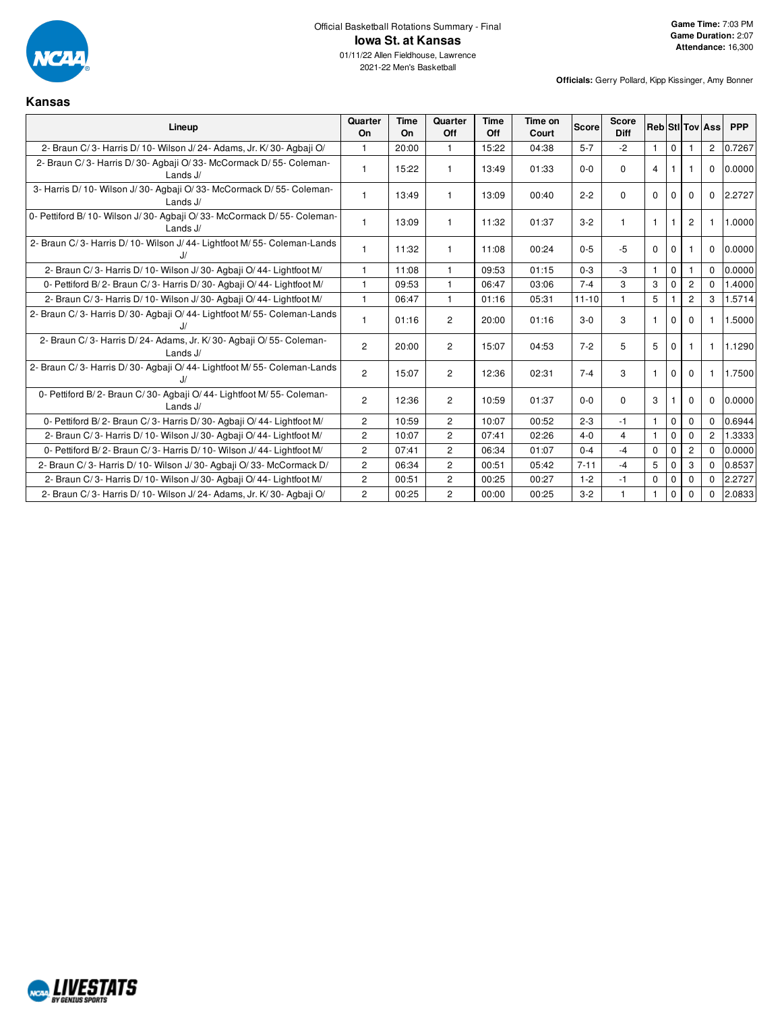

**Kansas**

01/11/22 Allen Fieldhouse, Lawrence 2021-22 Men's Basketball

| Lineup                                                                              | Quarter<br>On  | Time<br>On | Quarter<br>Off          | Time<br>Off | Time on<br>Court | <b>Score</b> | <b>Score</b><br><b>Diff</b> |                |              |                | <b>Reb StilTov Ass</b> | <b>PPP</b> |
|-------------------------------------------------------------------------------------|----------------|------------|-------------------------|-------------|------------------|--------------|-----------------------------|----------------|--------------|----------------|------------------------|------------|
| 2- Braun C/3- Harris D/10- Wilson J/24- Adams, Jr. K/30- Agbaji O/                  |                | 20:00      | $\mathbf 1$             | 15:22       | 04:38            | $5 - 7$      | $-2$                        |                | $\Omega$     |                | $\overline{2}$         | 0.7267     |
| 2- Braun C/3- Harris D/30- Agbaji O/33- McCormack D/55- Coleman-<br>Lands $J/$      | $\mathbf{1}$   | 15:22      | $\overline{1}$          | 13:49       | 01:33            | $0-0$        | $\Omega$                    | $\overline{4}$ |              |                | $\Omega$               | 0.0000     |
| 3- Harris D/ 10- Wilson J/ 30- Agbaji O/ 33- McCormack D/ 55- Coleman-<br>Lands J/  | $\mathbf{1}$   | 13:49      | $\overline{\mathbf{1}}$ | 13:09       | 00:40            | $2 - 2$      | $\mathbf 0$                 | $\Omega$       | $\Omega$     | $\Omega$       | $\mathbf 0$            | 2.2727     |
| 0- Pettiford B/10- Wilson J/30- Agbaii O/33- McCormack D/55- Coleman-<br>Lands J/   | -1             | 13:09      | -1                      | 11:32       | 01:37            | $3 - 2$      | 1                           | $\mathbf{1}$   |              | $\overline{2}$ | -1                     | 1.0000     |
| 2- Braun C/3- Harris D/10- Wilson J/44- Lightfoot M/55- Coleman-Lands<br>$\cdot$ I/ | -1             | 11:32      | -1                      | 11:08       | 00:24            | $0 - 5$      | -5                          | $\Omega$       | $\mathbf 0$  |                | $\mathbf 0$            | 0.0000     |
| 2- Braun C/3- Harris D/10- Wilson J/30- Agbaji O/44- Lightfoot M/                   | $\mathbf{1}$   | 11:08      |                         | 09:53       | 01:15            | $0 - 3$      | -3                          | $\mathbf{1}$   | $\mathbf{0}$ |                | $\mathbf 0$            | 0.0000     |
| 0- Pettiford B/2- Braun C/3- Harris D/30- Agbaii O/44- Lightfoot M/                 | 1              | 09:53      |                         | 06:47       | 03:06            | $7 - 4$      | 3                           | 3              |              | $\overline{2}$ | $\Omega$               | 1.4000     |
| 2- Braun C/3- Harris D/10- Wilson J/30- Agbaji O/44- Lightfoot M/                   | $\mathbf{1}$   | 06:47      | $\mathbf{1}$            | 01:16       | 05:31            | $11 - 10$    | $\mathbf{1}$                | 5              |              | $\overline{2}$ | 3                      | 1.5714     |
| 2- Braun C/3- Harris D/30- Agbaji O/44- Lightfoot M/55- Coleman-Lands               | $\mathbf{1}$   | 01:16      | $\overline{c}$          | 20:00       | 01:16            | $3-0$        | 3                           | $\mathbf{1}$   | $\mathbf 0$  | 0              |                        | 1.5000     |
| 2- Braun C/3- Harris D/24- Adams, Jr. K/30- Agbaji O/55- Coleman-<br>Lands $J/$     | $\overline{2}$ | 20:00      | $\overline{c}$          | 15:07       | 04:53            | $7 - 2$      | 5                           | 5              | $\Omega$     |                | $\mathbf{1}$           | 1.1290     |
| 2- Braun C/3- Harris D/30- Agbaji O/44- Lightfoot M/55- Coleman-Lands               | $\overline{2}$ | 15:07      | $\overline{c}$          | 12:36       | 02:31            | $7 - 4$      | 3                           | $\mathbf{1}$   | $\mathbf 0$  | $\Omega$       |                        | 1.7500     |
| 0- Pettiford B/2- Braun C/30- Agbaji O/44- Lightfoot M/55- Coleman-<br>Lands J/     | $\overline{2}$ | 12:36      | $\overline{c}$          | 10:59       | 01:37            | $0-0$        | $\Omega$                    | 3              |              | $\Omega$       | $\mathbf 0$            | 0.0000     |
| 0- Pettiford B/2- Braun C/3- Harris D/30- Agbaii O/44- Lightfoot M/                 | $\mathbf{2}$   | 10:59      | $\overline{c}$          | 10:07       | 00:52            | $2 - 3$      | -1                          |                | $\Omega$     | $\Omega$       | $\Omega$               | 0.6944     |
| 2- Braun C/3- Harris D/10- Wilson J/30- Agbaji O/44- Lightfoot M/                   | $\overline{2}$ | 10:07      | $\overline{2}$          | 07:41       | 02:26            | $4 - 0$      | $\overline{4}$              | $\mathbf{1}$   | $\Omega$     | $\Omega$       | 2                      | 1.3333     |
| 0- Pettiford B/2- Braun C/3- Harris D/10- Wilson J/44- Lightfoot M/                 | $\overline{c}$ | 07:41      | $\overline{2}$          | 06:34       | 01:07            | $0 - 4$      | $-4$                        | $\Omega$       | $\Omega$     | $\overline{2}$ | $\Omega$               | 0.0000     |
| 2- Braun C/3- Harris D/10- Wilson J/30- Agbaji O/33- McCormack D/                   | $\overline{2}$ | 06:34      | $\overline{2}$          | 00:51       | 05:42            | $7 - 11$     | $-4$                        | 5              | $\Omega$     | 3              | $\Omega$               | 0.8537     |
| 2- Braun C/3- Harris D/10- Wilson J/30- Agbaji O/44- Lightfoot M/                   | $\overline{2}$ | 00:51      | $\overline{c}$          | 00:25       | 00:27            | $1 - 2$      | $-1$                        | $\mathbf 0$    | $\Omega$     | 0              | $\Omega$               | 2.2727     |
| 2- Braun C/3- Harris D/10- Wilson J/24- Adams, Jr. K/30- Agbaji O/                  | $\mathbf{2}$   | 00:25      | $\overline{2}$          | 00:00       | 00:25            | $3 - 2$      | 1                           |                | $\Omega$     | $\Omega$       | $\Omega$               | 2.0833     |

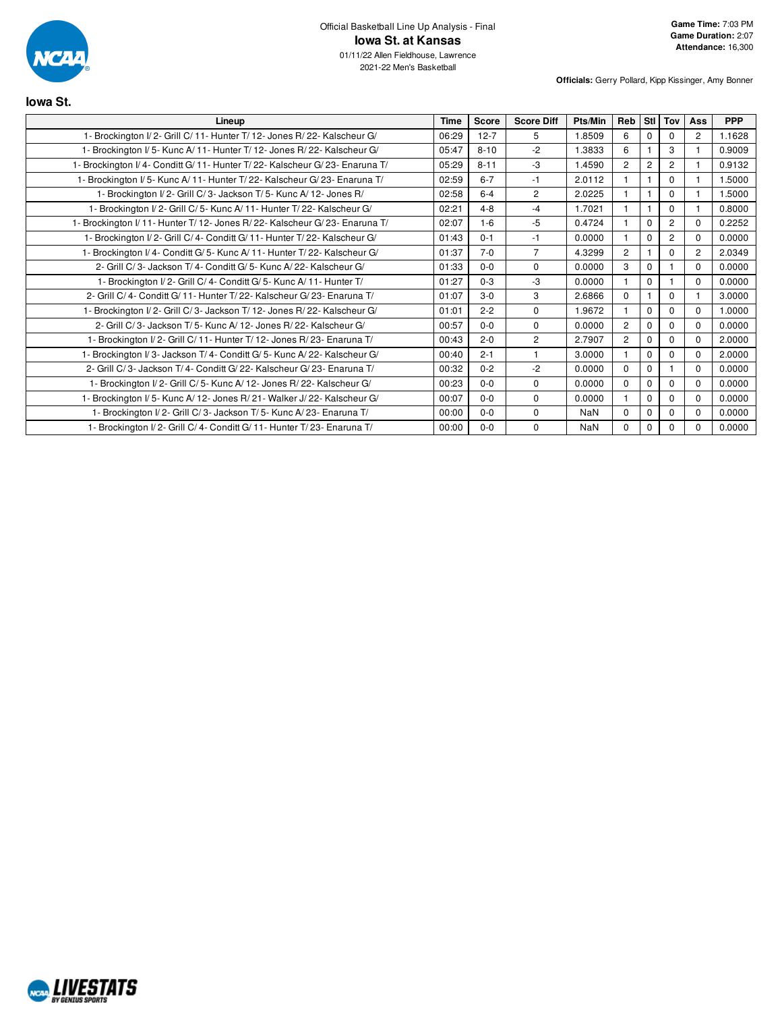

2021-22 Men's Basketball

| Lineup                                                                       | <b>Time</b> | <b>Score</b> | <b>Score Diff</b> | Pts/Min | Reb            | Stl I          | Tov            | Ass                   | <b>PPP</b> |
|------------------------------------------------------------------------------|-------------|--------------|-------------------|---------|----------------|----------------|----------------|-----------------------|------------|
| 1- Brockington I/2- Grill C/11- Hunter T/12- Jones R/22- Kalscheur G/        | 06:29       | $12 - 7$     | 5                 | 1.8509  | 6              | 0              | <sup>0</sup>   | $\mathbf{2}^{\prime}$ | 1.1628     |
| 1- Brockington I/5- Kunc A/11- Hunter T/12- Jones R/22- Kalscheur G/         | 05:47       | $8 - 10$     | $-2$              | 1.3833  | 6              |                | 3              |                       | 0.9009     |
| 1- Brockington I/4- Conditt G/11- Hunter T/22- Kalscheur G/23- Enaruna T/    | 05:29       | $8 - 11$     | -3                | 1.4590  | $\overline{2}$ | $\overline{2}$ | $\overline{2}$ |                       | 0.9132     |
| 1- Brockington I/5- Kunc A/11- Hunter T/22- Kalscheur G/23- Enaruna T/       | 02:59       | $6 - 7$      | $-1$              | 2.0112  |                |                | $\Omega$       |                       | 1.5000     |
| 1- Brockington I/2- Grill C/3- Jackson T/5- Kunc A/12- Jones R/              | 02:58       | $6 - 4$      | $\overline{c}$    | 2.0225  |                |                | $\Omega$       |                       | 1.5000     |
| 1- Brockington I/2- Grill C/5- Kunc A/11- Hunter T/22- Kalscheur G/          | 02:21       | $4 - 8$      | $-4$              | 1.7021  |                |                | $\Omega$       |                       | 0.8000     |
| 1- Brockington I/ 11- Hunter T/ 12- Jones R/ 22- Kalscheur G/ 23- Enaruna T/ | 02:07       | $1 - 6$      | $-5$              | 0.4724  |                | $\Omega$       | $\overline{2}$ | $\Omega$              | 0.2252     |
| 1- Brockington I/2- Grill C/4- Conditt G/11- Hunter T/22- Kalscheur G/       | 01:43       | $0 - 1$      | $-1$              | 0.0000  |                | $\Omega$       | $\overline{c}$ | $\Omega$              | 0.0000     |
| 1- Brockington I/4- Conditt G/5- Kunc A/11- Hunter T/22- Kalscheur G/        | 01:37       | $7-0$        | $\overline{7}$    | 4.3299  | $\overline{c}$ |                | $\Omega$       | $\overline{c}$        | 2.0349     |
| 2- Grill C/3- Jackson T/4- Conditt G/5- Kunc A/22- Kalscheur G/              | 01:33       | $0-0$        | $\mathbf 0$       | 0.0000  | 3              | $\Omega$       |                | $\Omega$              | 0.0000     |
| 1- Brockington I/2- Grill C/4- Conditt G/5- Kunc A/11- Hunter T/             | 01:27       | $0 - 3$      | -3                | 0.0000  |                | $\Omega$       |                | $\Omega$              | 0.0000     |
| 2- Grill C/4- Conditt G/11- Hunter T/22- Kalscheur G/23- Enaruna T/          | 01:07       | $3-0$        | 3                 | 2.6866  | $\Omega$       |                | $\Omega$       |                       | 3.0000     |
| 1- Brockington I/2- Grill C/3- Jackson T/12- Jones R/22- Kalscheur G/        | 01:01       | $2 - 2$      | $\mathbf 0$       | 1.9672  |                | $\Omega$       | $\Omega$       | $\Omega$              | 1.0000     |
| 2- Grill C/3- Jackson T/5- Kunc A/12- Jones R/22- Kalscheur G/               | 00:57       | $0 - 0$      | $\mathbf 0$       | 0.0000  | $\overline{c}$ | $\Omega$       | $\Omega$       | $\Omega$              | 0.0000     |
| 1- Brockington I/2- Grill C/11- Hunter T/12- Jones R/23- Enaruna T/          | 00:43       | $2 - 0$      | $\overline{c}$    | 2.7907  | $\overline{c}$ | $\Omega$       | $\Omega$       | $\Omega$              | 2.0000     |
| 1- Brockington I/3- Jackson T/4- Conditt G/5- Kunc A/22- Kalscheur G/        | 00:40       | $2 - 1$      |                   | 3.0000  |                | $\Omega$       | $\Omega$       | $\Omega$              | 2.0000     |
| 2- Grill C/3- Jackson T/4- Conditt G/22- Kalscheur G/23- Enaruna T/          | 00:32       | $0 - 2$      | $-2$              | 0.0000  | $\Omega$       | $\Omega$       |                | $\Omega$              | 0.0000     |
| 1- Brockington I/2- Grill C/5- Kunc A/12- Jones R/22- Kalscheur G/           | 00:23       | $0 - 0$      | $\Omega$          | 0.0000  | $\Omega$       | $\Omega$       | $\Omega$       | $\Omega$              | 0.0000     |
| 1- Brockington I/5- Kunc A/12- Jones R/21- Walker J/22- Kalscheur G/         | 00:07       | $0 - 0$      | $\Omega$          | 0.0000  |                | $\Omega$       | $\Omega$       | $\Omega$              | 0.0000     |
| 1- Brockington I/2- Grill C/3- Jackson T/5- Kunc A/23- Enaruna T/            | 00:00       | $0-0$        | $\mathbf 0$       | NaN     | $\Omega$       | $\Omega$       | 0              | $\Omega$              | 0.0000     |
| 1- Brockington I/2- Grill C/4- Conditt G/11- Hunter T/23- Enaruna T/         | 00:00       | $0 - 0$      | $\mathbf 0$       | NaN     | $\Omega$       | $\Omega$       | $\Omega$       |                       | 0.0000     |